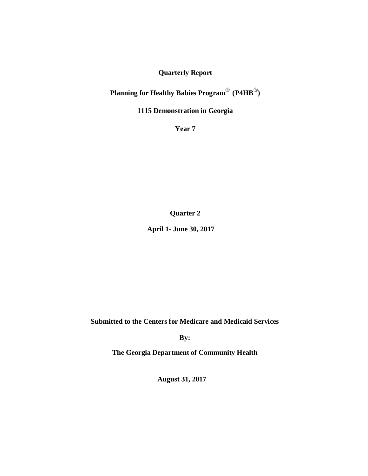## **Quarterly Report**

# **Planning for Healthy Babies Program** ® **(P4HB**®**)**

## **1115 Demonstration in Georgia**

**Year 7**

**Quarter 2**

**April 1- June 30, 2017**

**Submitted to the Centers for Medicare and Medicaid Services**

**By:**

**The Georgia Department of Community Health**

**August 31, 2017**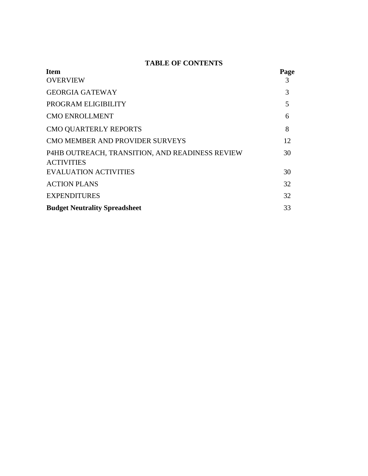## **TABLE OF CONTENTS**

| Page |
|------|
| 3    |
| 3    |
| 5    |
| 6    |
| 8    |
| 12   |
| 30   |
| 30   |
| 32   |
| 32   |
| 33   |
|      |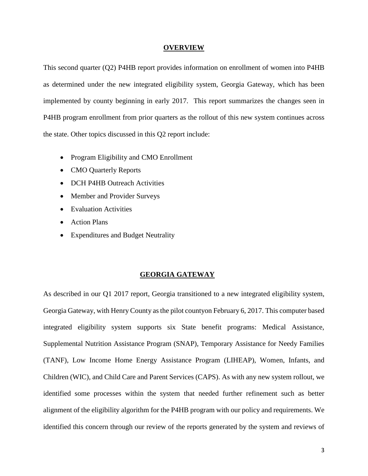#### **OVERVIEW**

This second quarter (Q2) P4HB report provides information on enrollment of women into P4HB as determined under the new integrated eligibility system, Georgia Gateway, which has been implemented by county beginning in early 2017. This report summarizes the changes seen in P4HB program enrollment from prior quarters as the rollout of this new system continues across the state. Other topics discussed in this Q2 report include:

- Program Eligibility and CMO Enrollment
- CMO Quarterly Reports
- DCH P4HB Outreach Activities
- Member and Provider Surveys
- Evaluation Activities
- Action Plans
- Expenditures and Budget Neutrality

#### **GEORGIA GATEWAY**

As described in our Q1 2017 report, Georgia transitioned to a new integrated eligibility system, Georgia Gateway, with Henry County as the pilot countyon February 6, 2017. This computer based integrated eligibility system supports six State benefit programs: Medical Assistance, Supplemental Nutrition Assistance Program (SNAP), Temporary Assistance for Needy Families (TANF), Low Income Home Energy Assistance Program (LIHEAP), Women, Infants, and Children (WIC), and Child Care and Parent Services (CAPS). As with any new system rollout, we identified some processes within the system that needed further refinement such as better alignment of the eligibility algorithm for the P4HB program with our policy and requirements. We identified this concern through our review of the reports generated by the system and reviews of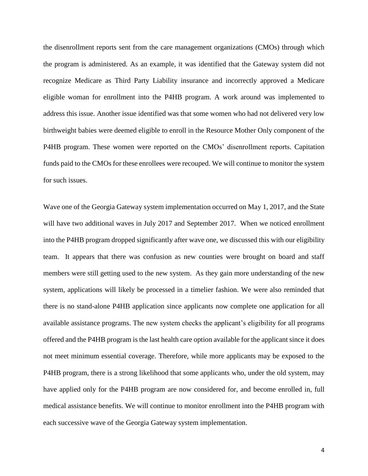the disenrollment reports sent from the care management organizations (CMOs) through which the program is administered. As an example, it was identified that the Gateway system did not recognize Medicare as Third Party Liability insurance and incorrectly approved a Medicare eligible woman for enrollment into the P4HB program. A work around was implemented to address this issue. Another issue identified was that some women who had not delivered very low birthweight babies were deemed eligible to enroll in the Resource Mother Only component of the P4HB program. These women were reported on the CMOs' disenrollment reports. Capitation funds paid to the CMOs for these enrollees were recouped. We will continue to monitor the system for such issues.

Wave one of the Georgia Gateway system implementation occurred on May 1, 2017, and the State will have two additional waves in July 2017 and September 2017. When we noticed enrollment into the P4HB program dropped significantly after wave one, we discussed this with our eligibility team. It appears that there was confusion as new counties were brought on board and staff members were still getting used to the new system. As they gain more understanding of the new system, applications will likely be processed in a timelier fashion. We were also reminded that there is no stand-alone P4HB application since applicants now complete one application for all available assistance programs. The new system checks the applicant's eligibility for all programs offered and the P4HB program is the last health care option available for the applicant since it does not meet minimum essential coverage. Therefore, while more applicants may be exposed to the P4HB program, there is a strong likelihood that some applicants who, under the old system, may have applied only for the P4HB program are now considered for, and become enrolled in, full medical assistance benefits. We will continue to monitor enrollment into the P4HB program with each successive wave of the Georgia Gateway system implementation.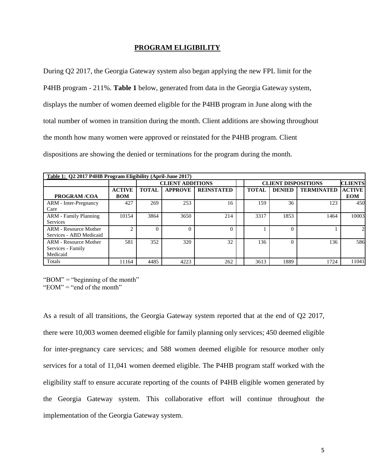#### **PROGRAM ELIGIBILITY**

During Q2 2017, the Georgia Gateway system also began applying the new FPL limit for the P4HB program - 211%. **Table 1** below, generated from data in the Georgia Gateway system, displays the number of women deemed eligible for the P4HB program in June along with the total number of women in transition during the month. Client additions are showing throughout the month how many women were approved or reinstated for the P4HB program. Client dispositions are showing the denied or terminations for the program during the month.

| Table 1: Q2 2017 P4HB Program Eligibility (April-June 2017) |                |              |                         |                   |  |              |                            |                   |                |  |  |
|-------------------------------------------------------------|----------------|--------------|-------------------------|-------------------|--|--------------|----------------------------|-------------------|----------------|--|--|
|                                                             |                |              | <b>CLIENT ADDITIONS</b> |                   |  |              | <b>CLIENT DISPOSITIONS</b> |                   | <b>CLIENTS</b> |  |  |
|                                                             | <b>ACTIVE</b>  | <b>TOTAL</b> | <b>APPROVE</b>          | <b>REINSTATED</b> |  | <b>TOTAL</b> | <b>DENIED</b>              | <b>TERMINATED</b> | <b>ACTIVE</b>  |  |  |
| <b>PROGRAM /COA</b>                                         | <b>BOM</b>     |              |                         |                   |  |              |                            |                   | <b>EOM</b>     |  |  |
| <b>ARM</b> - Inter-Pregnancy                                | 427            | 269          | 253                     | 16                |  | 159          | 36                         | 123               | 450            |  |  |
| Care                                                        |                |              |                         |                   |  |              |                            |                   |                |  |  |
| <b>ARM</b> - Family Planning                                | 10154          | 3864         | 3650                    | 214               |  | 3317         | 1853                       | 1464              | 10003          |  |  |
| Services                                                    |                |              |                         |                   |  |              |                            |                   |                |  |  |
| <b>ARM - Resource Mother</b>                                | $\overline{c}$ | $\Omega$     | 0                       |                   |  |              |                            |                   | $\overline{c}$ |  |  |
| Services - ABD Medicaid                                     |                |              |                         |                   |  |              |                            |                   |                |  |  |
| <b>ARM</b> - Resource Mother                                | 581            | 352          | 320                     | 32                |  | 136          | $\Omega$                   | 136               | 586            |  |  |
| Services - Family                                           |                |              |                         |                   |  |              |                            |                   |                |  |  |
| Medicaid                                                    |                |              |                         |                   |  |              |                            |                   |                |  |  |
| Totals                                                      | 11164          | 4485         | 4223                    | 262               |  | 3613         | 1889                       | 1724              | 11041          |  |  |

"BOM" = "beginning of the month"

"EOM"  $=$  "end of the month"

As a result of all transitions, the Georgia Gateway system reported that at the end of Q2 2017, there were 10,003 women deemed eligible for family planning only services; 450 deemed eligible for inter-pregnancy care services; and 588 women deemed eligible for resource mother only services for a total of 11,041 women deemed eligible. The P4HB program staff worked with the eligibility staff to ensure accurate reporting of the counts of P4HB eligible women generated by the Georgia Gateway system. This collaborative effort will continue throughout the implementation of the Georgia Gateway system.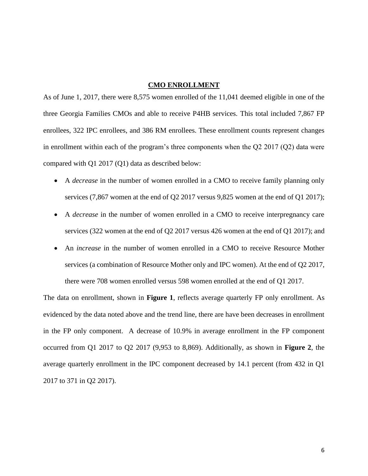#### **CMO ENROLLMENT**

As of June 1, 2017, there were 8,575 women enrolled of the 11,041 deemed eligible in one of the three Georgia Families CMOs and able to receive P4HB services. This total included 7,867 FP enrollees, 322 IPC enrollees, and 386 RM enrollees. These enrollment counts represent changes in enrollment within each of the program's three components when the Q2 2017 (Q2) data were compared with Q1 2017 (Q1) data as described below:

- A *decrease* in the number of women enrolled in a CMO to receive family planning only services (7,867 women at the end of Q2 2017 versus 9,825 women at the end of Q1 2017);
- A *decrease* in the number of women enrolled in a CMO to receive interpregnancy care services (322 women at the end of Q2 2017 versus 426 women at the end of Q1 2017); and
- An *increase* in the number of women enrolled in a CMO to receive Resource Mother services (a combination of Resource Mother only and IPC women). At the end of Q2 2017, there were 708 women enrolled versus 598 women enrolled at the end of Q1 2017.

The data on enrollment, shown in **Figure 1**, reflects average quarterly FP only enrollment. As evidenced by the data noted above and the trend line, there are have been decreases in enrollment in the FP only component. A decrease of 10.9% in average enrollment in the FP component occurred from Q1 2017 to Q2 2017 (9,953 to 8,869). Additionally, as shown in **Figure 2**, the average quarterly enrollment in the IPC component decreased by 14.1 percent (from 432 in Q1 2017 to 371 in Q2 2017).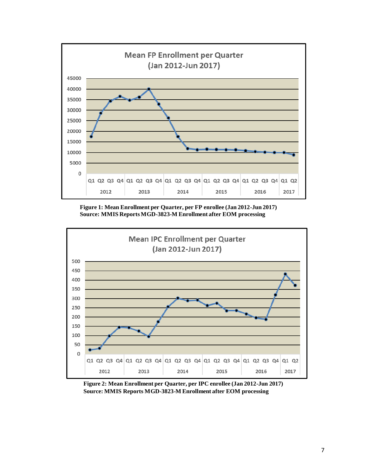

**Figure 1: Mean Enrollment per Quarter, per FP enrollee (Jan 2012-Jun 2017) Source: MMIS Reports MGD-3823-M Enrollment after EOM processing**



**Figure 2: Mean Enrollment per Quarter, per IPC enrollee (Jan 2012-Jun 2017) Source: MMIS Reports MGD-3823-M Enrollment after EOM processing**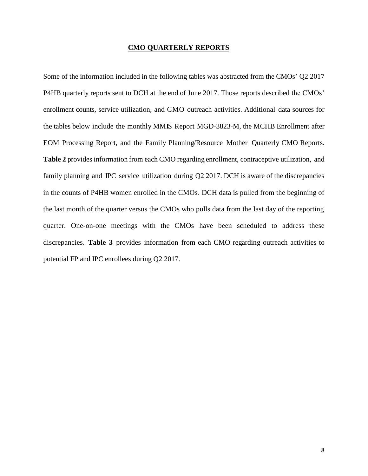#### **CMO QUARTERLY REPORTS**

Some of the information included in the following tables was abstracted from the CMOs' Q2 2017 P4HB quarterly reports sent to DCH at the end of June 2017. Those reports described the CMOs' enrollment counts, service utilization, and CMO outreach activities. Additional data sources for the tables below include the monthly MMIS Report MGD-3823-M, the MCHB Enrollment after EOM Processing Report, and the Family Planning/Resource Mother Quarterly CMO Reports. **Table 2** provides information from each CMO regarding enrollment, contraceptive utilization, and family planning and IPC service utilization during Q2 2017. DCH is aware of the discrepancies in the counts of P4HB women enrolled in the CMOs. DCH data is pulled from the beginning of the last month of the quarter versus the CMOs who pulls data from the last day of the reporting quarter. One-on-one meetings with the CMOs have been scheduled to address these discrepancies. **Table 3** provides information from each CMO regarding outreach activities to potential FP and IPC enrollees during Q2 2017.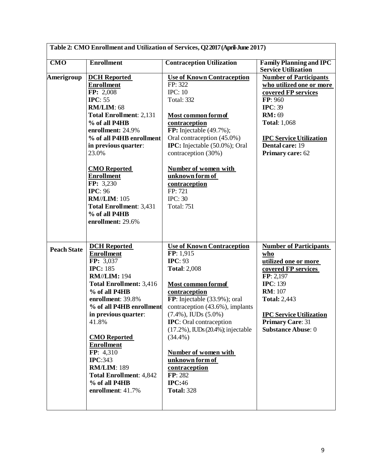|                    |                                | Table 2: CMO Enrollment and Utilization of Services, Q2 2017 (April-June 2017) |                                                              |
|--------------------|--------------------------------|--------------------------------------------------------------------------------|--------------------------------------------------------------|
| CMO                | <b>Enrollment</b>              | <b>Contraception Utilization</b>                                               | <b>Family Planning and IPC</b><br><b>Service Utilization</b> |
| Amerigroup         | <b>DCH</b> Reported            | <b>Use of Known Contraception</b>                                              | <b>Number of Participants</b>                                |
|                    | <b>Enrollment</b>              | FP: 322                                                                        | who utilized one or more                                     |
|                    | FP: 2,008                      | <b>IPC: 10</b>                                                                 | covered FP services                                          |
|                    | <b>IPC</b> : 55                | <b>Total: 332</b>                                                              | FP: 960                                                      |
|                    | <b>RM/LIM: 68</b>              |                                                                                | <b>IPC</b> : 39                                              |
|                    | <b>Total Enrollment: 2,131</b> | <b>Most common form of</b>                                                     | <b>RM</b> : 69                                               |
|                    | % of all P4HB                  | contraception                                                                  | <b>Total: 1,068</b>                                          |
|                    | enrollment: 24.9%              | FP: Injectable $(49.7\%)$ ;                                                    |                                                              |
|                    | % of all P4HB enrollment       | Oral contraception (45.0%)                                                     | <b>IPC Service Utilization</b>                               |
|                    | in previous quarter:           | <b>IPC:</b> Injectable (50.0%); Oral                                           | Dental care: 19                                              |
|                    | 23.0%                          | contraception (30%)                                                            | Primary care: 62                                             |
|                    | <b>CMO</b> Reported            | <b>Number of women with</b>                                                    |                                                              |
|                    | <b>Enrollment</b>              | unknown form of                                                                |                                                              |
|                    | FP: 3,230                      | contraception                                                                  |                                                              |
|                    | <b>IPC: 96</b>                 | FP: 721                                                                        |                                                              |
|                    | <b>RM//LIM: 105</b>            | <b>IPC: 30</b>                                                                 |                                                              |
|                    | <b>Total Enrollment: 3,431</b> | <b>Total: 751</b>                                                              |                                                              |
|                    | % of all P4HB                  |                                                                                |                                                              |
|                    | enrollment: 29.6%              |                                                                                |                                                              |
|                    |                                |                                                                                |                                                              |
| <b>Peach State</b> | <b>DCH</b> Reported            | <b>Use of Known Contraception</b>                                              | <b>Number of Participants</b>                                |
|                    | <b>Enrollment</b>              | FP: 1,915                                                                      | who                                                          |
|                    | FP: 3,037                      | <b>IPC</b> : 93                                                                | utilized one or more                                         |
|                    | <b>IPC: 185</b>                | <b>Total: 2,008</b>                                                            | covered FP services                                          |
|                    | <b>RM//LIM: 194</b>            |                                                                                | FP: 2,197                                                    |
|                    | <b>Total Enrollment: 3,416</b> | Most common formof                                                             | <b>IPC</b> : 139                                             |
|                    | % of all P4HB                  | contraception                                                                  | <b>RM</b> : 107                                              |
|                    | enrollment: 39.8%              | FP: Injectable (33.9%); oral                                                   | <b>Total: 2,443</b>                                          |
|                    | % of all P4HB enrollment       | contraception (43.6%), implants                                                |                                                              |
|                    | in previous quarter:           | $(7.4\%)$ , IUDs $(5.0\%)$                                                     | <b>IPC Service Utilization</b>                               |
|                    | 41.8%                          | <b>IPC</b> : Oral contraception                                                | <b>Primary Care: 31</b>                                      |
|                    |                                | $(17.2\%)$ , IUDs $(20.4\%)$ ; injectable                                      | <b>Substance Abuse: 0</b>                                    |
|                    | <b>CMO</b> Reported            | $(34.4\%)$                                                                     |                                                              |
|                    | <b>Enrollment</b>              |                                                                                |                                                              |
|                    | FP: 4,310                      | <b>Number of women with</b>                                                    |                                                              |
|                    | <b>IPC:343</b>                 | unknown form of                                                                |                                                              |
|                    | <b>RM/LIM: 189</b>             | contraception                                                                  |                                                              |
|                    | <b>Total Enrollment: 4,842</b> | FP: 282                                                                        |                                                              |
|                    | % of all P4HB                  | <b>IPC:46</b>                                                                  |                                                              |
|                    | enrollment: 41.7%              | <b>Total: 328</b>                                                              |                                                              |
|                    |                                |                                                                                |                                                              |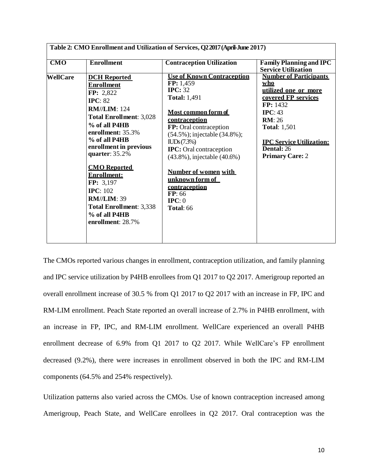| <b>Use of Known Contraception</b><br><b>Number of Participants</b><br>FP: 1,459<br>who<br><b>IPC: 32</b><br>utilized one or more<br><b>Total: 1,491</b><br>covered FP services<br>FP: 1432<br>Most common form of<br>IPC: 43<br>contraception<br>RM:26<br>FP: Oral contraception<br><b>Total: 1,501</b><br>(54.5%); injectable (34.8%);<br>ILDs(7.3%)<br><b>IPC Service Utilization:</b><br><b>Dental: 26</b> |
|---------------------------------------------------------------------------------------------------------------------------------------------------------------------------------------------------------------------------------------------------------------------------------------------------------------------------------------------------------------------------------------------------------------|
| <b>IPC:</b> Oral contraception<br><b>Primary Care: 2</b><br>(43.8%), injectable (40.6%)<br>Number of women with<br>unknown form of<br>contraception<br><b>Total: 66</b>                                                                                                                                                                                                                                       |
|                                                                                                                                                                                                                                                                                                                                                                                                               |

The CMOs reported various changes in enrollment, contraception utilization, and family planning and IPC service utilization by P4HB enrollees from Q1 2017 to Q2 2017. Amerigroup reported an overall enrollment increase of 30.5 % from Q1 2017 to Q2 2017 with an increase in FP, IPC and RM-LIM enrollment. Peach State reported an overall increase of 2.7% in P4HB enrollment, with an increase in FP, IPC, and RM-LIM enrollment. WellCare experienced an overall P4HB enrollment decrease of 6.9% from Q1 2017 to Q2 2017. While WellCare's FP enrollment decreased (9.2%), there were increases in enrollment observed in both the IPC and RM-LIM components (64.5% and 254% respectively).

Utilization patterns also varied across the CMOs. Use of known contraception increased among Amerigroup, Peach State, and WellCare enrollees in Q2 2017. Oral contraception was the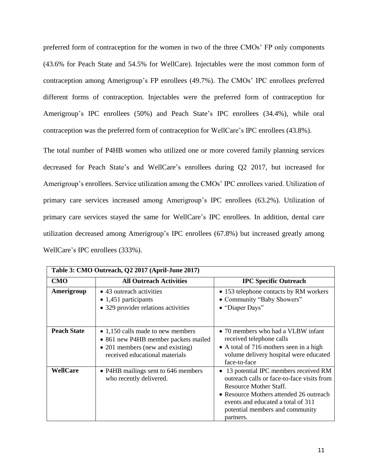preferred form of contraception for the women in two of the three CMOs' FP only components (43.6% for Peach State and 54.5% for WellCare). Injectables were the most common form of contraception among Amerigroup's FP enrollees (49.7%). The CMOs' IPC enrollees preferred different forms of contraception. Injectables were the preferred form of contraception for Amerigroup's IPC enrollees (50%) and Peach State's IPC enrollees (34.4%), while oral contraception was the preferred form of contraception for WellCare's IPC enrollees (43.8%).

The total number of P4HB women who utilized one or more covered family planning services decreased for Peach State's and WellCare's enrollees during Q2 2017, but increased for Amerigroup's enrollees. Service utilization among the CMOs' IPC enrollees varied. Utilization of primary care services increased among Amerigroup's IPC enrollees (63.2%). Utilization of primary care services stayed the same for WellCare's IPC enrollees. In addition, dental care utilization decreased among Amerigroup's IPC enrollees (67.8%) but increased greatly among WellCare's IPC enrollees (333%).

|                    | Table 3: CMO Outreach, Q2 2017 (April-June 2017)                                                                                                |                                                                                                                                                                                                                                                 |
|--------------------|-------------------------------------------------------------------------------------------------------------------------------------------------|-------------------------------------------------------------------------------------------------------------------------------------------------------------------------------------------------------------------------------------------------|
| <b>CMO</b>         | <b>All Outreach Activities</b>                                                                                                                  | <b>IPC Specific Outreach</b>                                                                                                                                                                                                                    |
| Amerigroup         | • 43 outreach activities<br>$\bullet$ 1,451 participants<br>• 329 provider relations activities                                                 | • 153 telephone contacts by RM workers<br>• Community "Baby Showers"<br>• "Diaper Days"                                                                                                                                                         |
| <b>Peach State</b> | • 1,150 calls made to new members<br>• 861 new P4HB member packets mailed<br>• 201 members (new and existing)<br>received educational materials | • 70 members who had a VLBW infant<br>received telephone calls<br>• A total of 716 mothers seen in a high<br>volume delivery hospital were educated<br>face-to-face                                                                             |
| WellCare           | • P4HB mailings sent to 646 members<br>who recently delivered.                                                                                  | • 13 potential IPC members received RM<br>outreach calls or face-to-face visits from<br>Resource Mother Staff.<br>• Resource Mothers attended 26 outreach<br>events and educated a total of 311<br>potential members and community<br>partners. |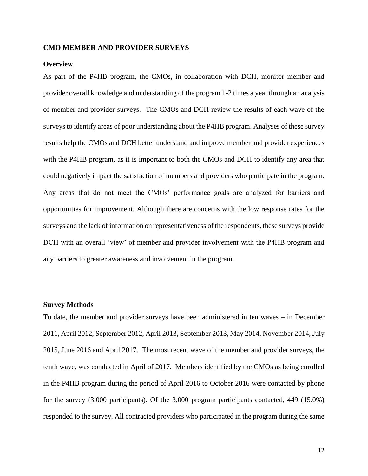#### **CMO MEMBER AND PROVIDER SURVEYS**

#### **Overview**

As part of the P4HB program, the CMOs, in collaboration with DCH, monitor member and provider overall knowledge and understanding of the program 1-2 times a year through an analysis of member and provider surveys. The CMOs and DCH review the results of each wave of the surveys to identify areas of poor understanding about the P4HB program. Analyses of these survey results help the CMOs and DCH better understand and improve member and provider experiences with the P4HB program, as it is important to both the CMOs and DCH to identify any area that could negatively impact the satisfaction of members and providers who participate in the program. Any areas that do not meet the CMOs' performance goals are analyzed for barriers and opportunities for improvement. Although there are concerns with the low response rates for the surveys and the lack of information on representativeness of the respondents, these surveys provide DCH with an overall 'view' of member and provider involvement with the P4HB program and any barriers to greater awareness and involvement in the program.

#### **Survey Methods**

To date, the member and provider surveys have been administered in ten waves – in December 2011, April 2012, September 2012, April 2013, September 2013, May 2014, November 2014, July 2015, June 2016 and April 2017. The most recent wave of the member and provider surveys, the tenth wave, was conducted in April of 2017. Members identified by the CMOs as being enrolled in the P4HB program during the period of April 2016 to October 2016 were contacted by phone for the survey (3,000 participants). Of the 3,000 program participants contacted, 449 (15.0%) responded to the survey. All contracted providers who participated in the program during the same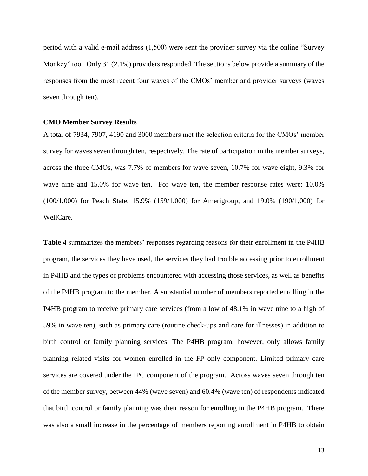period with a valid e-mail address (1,500) were sent the provider survey via the online "Survey Monkey" tool. Only 31 (2.1%) providers responded. The sections below provide a summary of the responses from the most recent four waves of the CMOs' member and provider surveys (waves seven through ten).

#### **CMO Member Survey Results**

A total of 7934, 7907, 4190 and 3000 members met the selection criteria for the CMOs' member survey for waves seven through ten, respectively. The rate of participation in the member surveys, across the three CMOs, was 7.7% of members for wave seven, 10.7% for wave eight, 9.3% for wave nine and 15.0% for wave ten. For wave ten, the member response rates were: 10.0% (100/1,000) for Peach State, 15.9% (159/1,000) for Amerigroup, and 19.0% (190/1,000) for WellCare.

**Table 4** summarizes the members' responses regarding reasons for their enrollment in the P4HB program, the services they have used, the services they had trouble accessing prior to enrollment in P4HB and the types of problems encountered with accessing those services, as well as benefits of the P4HB program to the member. A substantial number of members reported enrolling in the P4HB program to receive primary care services (from a low of 48.1% in wave nine to a high of 59% in wave ten), such as primary care (routine check-ups and care for illnesses) in addition to birth control or family planning services. The P4HB program, however, only allows family planning related visits for women enrolled in the FP only component. Limited primary care services are covered under the IPC component of the program. Across waves seven through ten of the member survey, between 44% (wave seven) and 60.4% (wave ten) of respondents indicated that birth control or family planning was their reason for enrolling in the P4HB program. There was also a small increase in the percentage of members reporting enrollment in P4HB to obtain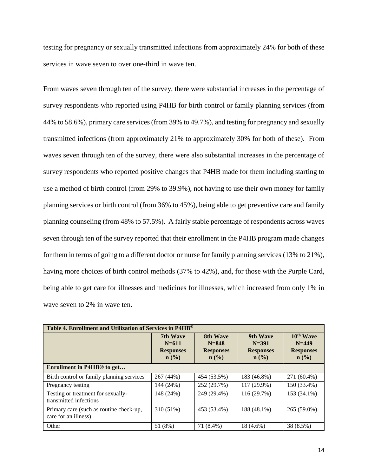testing for pregnancy or sexually transmitted infections from approximately 24% for both of these services in wave seven to over one-third in wave ten.

From waves seven through ten of the survey, there were substantial increases in the percentage of survey respondents who reported using P4HB for birth control or family planning services (from 44% to 58.6%), primary care services (from 39% to 49.7%), and testing for pregnancy and sexually transmitted infections (from approximately 21% to approximately 30% for both of these). From waves seven through ten of the survey, there were also substantial increases in the percentage of survey respondents who reported positive changes that P4HB made for them including starting to use a method of birth control (from 29% to 39.9%), not having to use their own money for family planning services or birth control (from 36% to 45%), being able to get preventive care and family planning counseling (from 48% to 57.5%). A fairly stable percentage of respondents across waves seven through ten of the survey reported that their enrollment in the P4HB program made changes for them in terms of going to a different doctor or nurse for family planning services (13% to 21%), having more choices of birth control methods (37% to 42%), and, for those with the Purple Card, being able to get care for illnesses and medicines for illnesses, which increased from only 1% in wave seven to 2% in wave ten.

| Table 4. Enrollment and Utilization of Services in P4HB <sup>®</sup> |                                                               |                                                               |                                                               |                                                                          |  |  |  |  |  |
|----------------------------------------------------------------------|---------------------------------------------------------------|---------------------------------------------------------------|---------------------------------------------------------------|--------------------------------------------------------------------------|--|--|--|--|--|
|                                                                      | 7th Wave<br>$N = 611$<br><b>Responses</b><br>$\mathbf{n}(\%)$ | 8th Wave<br>$N = 848$<br><b>Responses</b><br>$\mathbf{n}(\%)$ | 9th Wave<br>$N = 391$<br><b>Responses</b><br>$\mathbf{n}(\%)$ | 10 <sup>th</sup> Wave<br>$N=449$<br><b>Responses</b><br>$\mathbf{n}(\%)$ |  |  |  |  |  |
| Enrollment in P4HB <sup>®</sup> to get                               |                                                               |                                                               |                                                               |                                                                          |  |  |  |  |  |
| Birth control or family planning services                            | 267 (44%)                                                     | 454 (53.5%)                                                   | 183 (46.8%)                                                   | 271 (60.4%)                                                              |  |  |  |  |  |
| Pregnancy testing                                                    | 144 (24%)                                                     | 252 (29.7%)                                                   | 117 (29.9%)                                                   | 150 (33.4%)                                                              |  |  |  |  |  |
| Testing or treatment for sexually-<br>transmitted infections         | 148 (24%)                                                     | 249 (29.4%)                                                   | 116 (29.7%)                                                   | 153 (34.1%)                                                              |  |  |  |  |  |
| Primary care (such as routine check-up,<br>care for an illness)      | 310 (51%)                                                     | 453 (53.4%)                                                   | 188 (48.1%)                                                   | 265 (59.0%)                                                              |  |  |  |  |  |
| Other                                                                | 51 (8%)                                                       | 71 (8.4%)                                                     | 18 (4.6%)                                                     | 38 (8.5%)                                                                |  |  |  |  |  |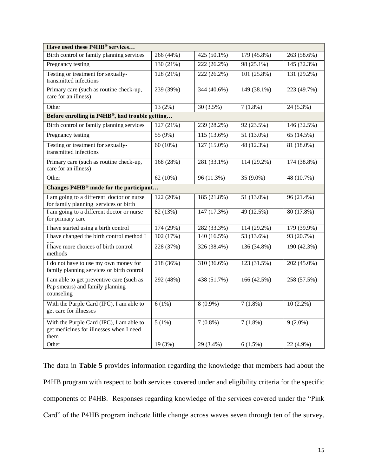| Have used these P4HB® services                                                              |             |                          |              |             |
|---------------------------------------------------------------------------------------------|-------------|--------------------------|--------------|-------------|
| Birth control or family planning services                                                   | 266(44%)    | $425(50.1\%)$            | 179(45.8%)   | 263(58.6%)  |
| Pregnancy testing                                                                           | 130(21%)    | 222(26.2%)               | $98(25.1\%)$ | 145 (32.3%) |
| Testing or treatment for sexually-<br>transmitted infections                                | 128 (21%)   | 222 (26.2%)              | 101 (25.8%)  | 131 (29.2%) |
| Primary care (such as routine check-up,<br>care for an illness)                             | 239 (39%)   | 344 (40.6%)              | 149 (38.1%)  | 223 (49.7%) |
| Other                                                                                       | 13(2%)      | 30(3.5%)                 | $7(1.8\%)$   | $24(5.3\%)$ |
| Before enrolling in P4HB®, had trouble getting                                              |             |                          |              |             |
| Birth control or family planning services                                                   | 127 (21%)   | 239 (28.2%)              | 92 (23.5%)   | 146 (32.5%) |
| Pregnancy testing                                                                           | 55 (9%)     | 115 (13.6%)              | 51 (13.0%)   | 65 (14.5%)  |
| Testing or treatment for sexually-<br>transmitted infections                                | $60(10\%)$  | 127 (15.0%)              | 48 (12.3%)   | 81 (18.0%)  |
| Primary care (such as routine check-up,<br>care for an illness)                             | 168 (28%)   | 281 (33.1%)              | 114 (29.2%)  | 174 (38.8%) |
| Other                                                                                       | 62 $(10\%)$ | 96 (11.3%)               | 35 (9.0%)    | 48 (10.7%)  |
| Changes P4HB <sup>®</sup> made for the participant                                          |             |                          |              |             |
| I am going to a different doctor or nurse<br>for family planning services or birth          | 122 (20%)   | 185 (21.8%)              | 51 (13.0%)   | 96 (21.4%)  |
| I am going to a different doctor or nurse<br>for primary care                               | 82 (13%)    | 147 (17.3%)              | 49 (12.5%)   | 80 (17.8%)  |
| I have started using a birth control                                                        | 174 (29%)   | 282 (33.3%)              | 114 (29.2%)  | 179 (39.9%) |
| I have changed the birth control method I                                                   | 102 (17%)   | $\overline{140}$ (16.5%) | 53 (13.6%)   | 93 (20.7%)  |
| I have more choices of birth control<br>methods                                             | 228 (37%)   | 326 (38.4%)              | 136 (34.8%)  | 190 (42.3%) |
| I do not have to use my own money for<br>family planning services or birth control          | 218 (36%)   | 310 (36.6%)              | 123(31.5%)   | 202 (45.0%) |
| I am able to get preventive care (such as<br>Pap smears) and family planning<br>counseling  | 292 (48%)   | 438 (51.7%)              | 166 (42.5%)  | 258 (57.5%) |
| With the Purple Card (IPC), I am able to<br>get care for illnesses                          | 6(1%)       | $8(0.9\%)$               | $7(1.8\%)$   | $10(2.2\%)$ |
| With the Purple Card (IPC), I am able to<br>get medicines for illnesses when I need<br>them | 5(1%)       | $7(0.8\%)$               | $7(1.8\%)$   | $9(2.0\%)$  |
| Other                                                                                       | 19 (3%)     | 29 (3.4%)                | $6(1.5\%)$   | 22 (4.9%)   |

The data in **Table 5** provides information regarding the knowledge that members had about the P4HB program with respect to both services covered under and eligibility criteria for the specific components of P4HB. Responses regarding knowledge of the services covered under the "Pink Card" of the P4HB program indicate little change across waves seven through ten of the survey.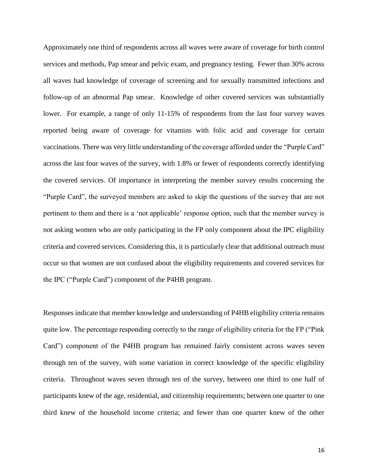Approximately one third of respondents across all waves were aware of coverage for birth control services and methods, Pap smear and pelvic exam, and pregnancy testing. Fewer than 30% across all waves had knowledge of coverage of screening and for sexually transmitted infections and follow-up of an abnormal Pap smear. Knowledge of other covered services was substantially lower. For example, a range of only 11-15% of respondents from the last four survey waves reported being aware of coverage for vitamins with folic acid and coverage for certain vaccinations. There was very little understanding of the coverage afforded under the "Purple Card" across the last four waves of the survey, with 1.8% or fewer of respondents correctly identifying the covered services. Of importance in interpreting the member survey results concerning the "Purple Card", the surveyed members are asked to skip the questions of the survey that are not pertinent to them and there is a 'not applicable' response option, such that the member survey is not asking women who are only participating in the FP only component about the IPC eligibility criteria and covered services. Considering this, it is particularly clear that additional outreach must occur so that women are not confused about the eligibility requirements and covered services for the IPC ("Purple Card") component of the P4HB program.

Responses indicate that member knowledge and understanding of P4HB eligibility criteria remains quite low. The percentage responding correctly to the range of eligibility criteria for the FP ("Pink Card") component of the P4HB program has remained fairly consistent across waves seven through ten of the survey, with some variation in correct knowledge of the specific eligibility criteria. Throughout waves seven through ten of the survey, between one third to one half of participants knew of the age, residential, and citizenship requirements; between one quarter to one third knew of the household income criteria; and fewer than one quarter knew of the other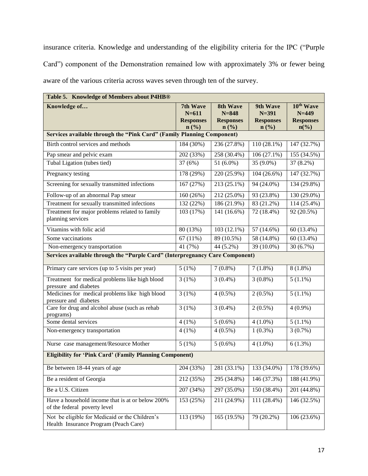insurance criteria. Knowledge and understanding of the eligibility criteria for the IPC ("Purple Card") component of the Demonstration remained low with approximately 3% or fewer being aware of the various criteria across waves seven through ten of the survey.

| Table 5. Knowledge of Members about P4HB®                                               |                                                                          |                                                                          |                                                                          |                                                                                     |  |  |  |  |  |
|-----------------------------------------------------------------------------------------|--------------------------------------------------------------------------|--------------------------------------------------------------------------|--------------------------------------------------------------------------|-------------------------------------------------------------------------------------|--|--|--|--|--|
| Knowledge of                                                                            | 7th Wave<br>$N = 611$<br><b>Responses</b><br>$n\left(\frac{0}{0}\right)$ | 8th Wave<br>$N = 848$<br><b>Responses</b><br>$n\left(\frac{9}{6}\right)$ | 9th Wave<br>$N = 391$<br><b>Responses</b><br>$n\left(\frac{9}{6}\right)$ | 10 <sup>th</sup> Wave<br>$N=449$<br><b>Responses</b><br>$n\left(\frac{6}{6}\right)$ |  |  |  |  |  |
| Services available through the "Pink Card" (Family Planning Component)                  |                                                                          |                                                                          |                                                                          |                                                                                     |  |  |  |  |  |
| Birth control services and methods                                                      | 184 (30%)                                                                | 236 (27.8%)                                                              | $110(28.1\%)$                                                            | 147 (32.7%)                                                                         |  |  |  |  |  |
| Pap smear and pelvic exam                                                               | 202 (33%)                                                                | 258 (30.4%)                                                              | 106(27.1%)                                                               | 155(34.5%)                                                                          |  |  |  |  |  |
| Tubal Ligation (tubes tied)                                                             | 37(6%)                                                                   | 51 $(6.0\%)$                                                             | 35 (9.0%)                                                                | 37 (8.2%)                                                                           |  |  |  |  |  |
| Pregnancy testing                                                                       | 178 (29%)                                                                | 220 (25.9%)                                                              | $104(26.6\%)$                                                            | 147 (32.7%)                                                                         |  |  |  |  |  |
| Screening for sexually transmitted infections                                           | 167 (27%)                                                                | 213 (25.1%)                                                              | 94 (24.0%)                                                               | 134 (29.8%)                                                                         |  |  |  |  |  |
| Follow-up of an abnormal Pap smear                                                      | 160 (26%)                                                                | 212 (25.0%)                                                              | $\overline{93}$ (23.8%)                                                  | 130 (29.0%)                                                                         |  |  |  |  |  |
| Treatment for sexually transmitted infections                                           | $\overline{132(22\%)}$                                                   | $\overline{186(21.9\%)}$                                                 | 83 (21.2%)                                                               | 114 (25.4%)                                                                         |  |  |  |  |  |
| Treatment for major problems related to family<br>planning services                     | 103 (17%)                                                                | 141 (16.6%)                                                              | 72 (18.4%)                                                               | 92 (20.5%)                                                                          |  |  |  |  |  |
| Vitamins with folic acid                                                                | 80 (13%)                                                                 | $103(12.1\%)$                                                            | 57 (14.6%)                                                               | 60 (13.4%)                                                                          |  |  |  |  |  |
| Some vaccinations                                                                       | 67(11%)                                                                  | 89 (10.5%)                                                               | 58 (14.8%)                                                               | 60 (13.4%)                                                                          |  |  |  |  |  |
| Non-emergency transportation                                                            | 41 (7%)                                                                  | 44 (5.2%)                                                                | 39 (10.0%)                                                               | 30 (6.7%)                                                                           |  |  |  |  |  |
| Services available through the "Purple Card" (Interpregnancy Care Component)            |                                                                          |                                                                          |                                                                          |                                                                                     |  |  |  |  |  |
| Primary care services (up to 5 visits per year)                                         | 5(1%)                                                                    | $7(0.8\%)$                                                               | $7(1.8\%)$                                                               | $8(1.8\%)$                                                                          |  |  |  |  |  |
| Treatment for medical problems like high blood<br>pressure and diabetes                 | 3(1%)                                                                    | $3(0.4\%)$                                                               | $3(0.8\%)$                                                               | $5(1.1\%)$                                                                          |  |  |  |  |  |
| Medicines for medical problems like high blood<br>pressure and diabetes                 | 3(1%)                                                                    | $4(0.5\%)$                                                               | $2(0.5\%)$                                                               | $5(1.1\%)$                                                                          |  |  |  |  |  |
| Care for drug and alcohol abuse (such as rehab<br>programs)                             | 3(1%)                                                                    | $3(0.4\%)$                                                               | $2(0.5\%)$                                                               | $4(0.9\%)$                                                                          |  |  |  |  |  |
| Some dental services                                                                    | 4(1%)                                                                    | $5(0.6\%)$                                                               | $4(1.0\%)$                                                               | $5(1.1\%)$                                                                          |  |  |  |  |  |
| Non-emergency transportation                                                            | 4(1%)                                                                    | $4(0.5\%)$                                                               | $1(0.3\%)$                                                               | 3(0.7%)                                                                             |  |  |  |  |  |
| Nurse case management/Resource Mother                                                   | 5(1%)                                                                    | $5(0.6\%)$                                                               | $4(1.0\%)$                                                               | 6(1.3%)                                                                             |  |  |  |  |  |
| <b>Eligibility for 'Pink Card' (Family Planning Component)</b>                          |                                                                          |                                                                          |                                                                          |                                                                                     |  |  |  |  |  |
| Be between 18-44 years of age                                                           | 204 (33%)                                                                | 281 (33.1%)                                                              | 133 (34.0%)                                                              | 178 (39.6%)                                                                         |  |  |  |  |  |
| Be a resident of Georgia                                                                | 212 (35%)                                                                | 295 (34.8%)                                                              | 146 (37.3%)                                                              | 188 (41.9%)                                                                         |  |  |  |  |  |
| Be a U.S. Citizen                                                                       | 207 (34%)                                                                | 297 (35.0%)                                                              | 150 (38.4%)                                                              | 201 (44.8%)                                                                         |  |  |  |  |  |
| Have a household income that is at or below 200%<br>of the federal poverty level        | 153 (25%)                                                                | 211 (24.9%)                                                              | 111 (28.4%)                                                              | 146 (32.5%)                                                                         |  |  |  |  |  |
| Not be eligible for Medicaid or the Children's<br>Health Insurance Program (Peach Care) | 113 (19%)                                                                | 165 (19.5%)                                                              | 79 (20.2%)                                                               | 106 (23.6%)                                                                         |  |  |  |  |  |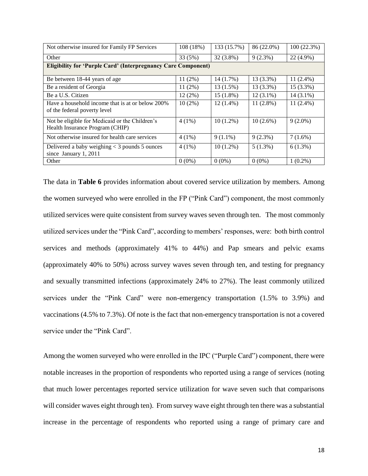| Not otherwise insured for Family FP Services                                      | 108 (18%) | 133 (15.7%) | 86 (22.0%)  | 100(22.3%)  |  |  |  |  |  |
|-----------------------------------------------------------------------------------|-----------|-------------|-------------|-------------|--|--|--|--|--|
| Other                                                                             | 33 (5%)   | 32 (3.8%)   | 9(2.3%)     | 22 (4.9%)   |  |  |  |  |  |
| <b>Eligibility for 'Purple Card' (Interpregnancy Care Component)</b>              |           |             |             |             |  |  |  |  |  |
| Be between 18-44 years of age                                                     | $11(2\%)$ | 14 (1.7%)   | 13 (3.3%)   | $11(2.4\%)$ |  |  |  |  |  |
| Be a resident of Georgia                                                          | 11(2%)    | 13 (1.5%)   | $13(3.3\%)$ | $15(3.3\%)$ |  |  |  |  |  |
| Be a U.S. Citizen                                                                 | 12(2%)    | $15(1.8\%)$ | $12(3.1\%)$ | $14(3.1\%)$ |  |  |  |  |  |
| Have a household income that is at or below 200%<br>of the federal poverty level  | $10(2\%)$ | $12(1.4\%)$ | $11(2.8\%)$ | $11(2.4\%)$ |  |  |  |  |  |
| Not be eligible for Medicaid or the Children's<br>Health Insurance Program (CHIP) | $4(1\%)$  | $10(1.2\%)$ | $10(2.6\%)$ | $9(2.0\%)$  |  |  |  |  |  |
| Not otherwise insured for health care services                                    | $4(1\%)$  | $9(1.1\%)$  | $9(2.3\%)$  | $7(1.6\%)$  |  |  |  |  |  |
| Delivered a baby weighing $<$ 3 pounds 5 ounces<br>since January 1, 2011          | $4(1\%)$  | $10(1.2\%)$ | 5(1.3%)     | $6(1.3\%)$  |  |  |  |  |  |
| Other                                                                             | $0(0\%)$  | $0(0\%)$    | $0(0\%)$    | $1(0.2\%)$  |  |  |  |  |  |

The data in **Table 6** provides information about covered service utilization by members. Among the women surveyed who were enrolled in the FP ("Pink Card") component, the most commonly utilized services were quite consistent from survey waves seven through ten. The most commonly utilized services under the "Pink Card", according to members' responses, were: both birth control services and methods (approximately 41% to 44%) and Pap smears and pelvic exams (approximately 40% to 50%) across survey waves seven through ten, and testing for pregnancy and sexually transmitted infections (approximately 24% to 27%). The least commonly utilized services under the "Pink Card" were non-emergency transportation (1.5% to 3.9%) and vaccinations (4.5% to 7.3%). Of note is the fact that non-emergency transportation is not a covered service under the "Pink Card".

Among the women surveyed who were enrolled in the IPC ("Purple Card") component, there were notable increases in the proportion of respondents who reported using a range of services (noting that much lower percentages reported service utilization for wave seven such that comparisons will consider waves eight through ten). From survey wave eight through ten there was a substantial increase in the percentage of respondents who reported using a range of primary care and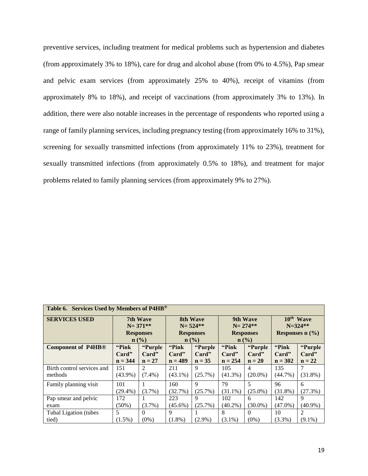preventive services, including treatment for medical problems such as hypertension and diabetes (from approximately 3% to 18%), care for drug and alcohol abuse (from 0% to 4.5%), Pap smear and pelvic exam services (from approximately 25% to 40%), receipt of vitamins (from approximately 8% to 18%), and receipt of vaccinations (from approximately 3% to 13%). In addition, there were also notable increases in the percentage of respondents who reported using a range of family planning services, including pregnancy testing (from approximately 16% to 31%), screening for sexually transmitted infections (from approximately 11% to 23%), treatment for sexually transmitted infections (from approximately 0.5% to 18%), and treatment for major problems related to family planning services (from approximately 9% to 27%).

| Table 6. Services Used by Members of P4HB <sup>®</sup> |            |                  |                                                 |             |                  |                         |                       |            |  |
|--------------------------------------------------------|------------|------------------|-------------------------------------------------|-------------|------------------|-------------------------|-----------------------|------------|--|
| <b>SERVICES USED</b>                                   |            | <b>7th Wave</b>  |                                                 | 8th Wave    |                  | 9th Wave                | 10 <sup>th</sup> Wave |            |  |
|                                                        |            | $N = 371**$      | $N = 524**$                                     |             | $N = 274$ **     |                         | $N = 324$ **          |            |  |
|                                                        |            | <b>Responses</b> | <b>Responses</b>                                |             | <b>Responses</b> |                         | Responses $n$ (%)     |            |  |
|                                                        | n (% )     |                  | $\mathbf{n}(\%)$<br>$n\left(\frac{0}{0}\right)$ |             |                  |                         |                       |            |  |
| <b>Component of P4HB®</b>                              | "Pink      | "Purple          | "Pink"                                          | "Purple     | "Pink            | "Purple                 | "Pink"                | "Purple    |  |
|                                                        | Card"      | Card"            | Card"                                           | Card"       | Card"            | Card"                   | Card"                 | Card"      |  |
|                                                        | $n = 344$  | $n = 27$         | $n = 489$                                       | $n = 35$    | $n = 254$        | $n = 20$                | $n = 302$             | $n = 22$   |  |
| Birth control services and                             | 151        | $\mathfrak{D}$   | 211                                             | 9           | 105              | $\overline{4}$          | 135                   | 7          |  |
| methods                                                | $(43.9\%)$ | $(7.4\%)$        | $(43.1\%)$                                      | (25.7%)     | $(41.3\%)$       | $(20.0\%)$              | $(44.7\%)$            | $(31.8\%)$ |  |
| Family planning visit                                  | 101        |                  | 160                                             | $\mathbf Q$ | 79               | $\overline{\mathbf{5}}$ | 96                    | 6          |  |
|                                                        | $(29.4\%)$ | $(3.7\%)$        | (32.7%)                                         | (25.7%)     | $(31.1\%)$       | $(25.0\%)$              | $(31.8\%)$            | (27.3%)    |  |
| Pap smear and pelvic                                   | 172        |                  | 223                                             | 9           | 102              | 6                       | 142                   | 9          |  |
| exam                                                   | $(50\%)$   | $(3.7\%)$        | $(45.6\%)$                                      | (25.7%)     | $(40.2\%)$       | $(30.0\%)$              | $(47.0\%)$            | $(40.9\%)$ |  |
| Tubal Ligation (tubes                                  | 5          | $\Omega$         | 9                                               |             | 8                | $\Omega$                | 10                    | 2          |  |
| tied)                                                  | $(1.5\%)$  | $(0\%)$          | $(1.8\%)$                                       | $(2.9\%)$   | $(3.1\%)$        | $(0\%)$                 | $(3.3\%)$             | $(9.1\%)$  |  |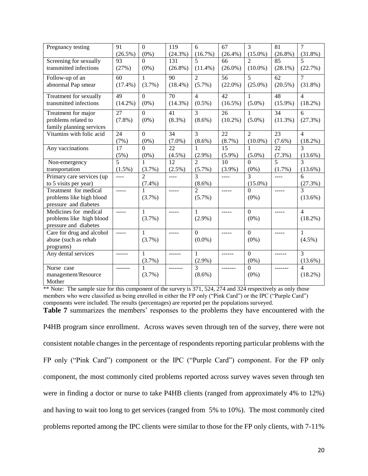| Pregnancy testing         | 91              | $\mathbf{0}$   | 119             | 6              | 67              | 3                      | $\overline{81}$ | 7                        |
|---------------------------|-----------------|----------------|-----------------|----------------|-----------------|------------------------|-----------------|--------------------------|
|                           | $(26.5\%)$      | $(0\%)$        | $(24.3\%)$      | (16.7%)        | $(26.4\%)$      | $(15.0\%)$             | $(26.8\%)$      | $(31.8\%)$               |
| Screening for sexually    | 93              | $\Omega$       | 131             | $\overline{5}$ | 66              | $\mathcal{D}_{\alpha}$ | 85              | $\overline{\phantom{0}}$ |
| transmitted infections    | (27%)           | $(0\%)$        | $(26.8\%)$      | $(11.4\%)$     | $(26.0\%)$      | $(10.0\%)$             | $(28.1\%)$      | (22.7%)                  |
| Follow-up of an           | $\overline{60}$ | 1              | $\overline{90}$ | $\overline{2}$ | $\overline{56}$ | $\overline{5}$         | 62              | $\overline{7}$           |
| abnormal Pap smear        | $(17.4\%)$      | $(3.7\%)$      | $(18.4\%)$      | $(5.7\%)$      | $(22.0\%)$      | $(25.0\%)$             | $(20.5\%)$      | $(31.8\%)$               |
| Treatment for sexually    | 49              | $\overline{0}$ | $\overline{70}$ | $\overline{4}$ | 42              | $\mathbf{1}$           | 48              | $\overline{4}$           |
| transmitted infections    | $(14.2\%)$      | $(0\%)$        | $(14.3\%)$      | $(0.5\%)$      | $(16.5\%)$      | $(5.0\%)$              | $(15.9\%)$      | $(18.2\%)$               |
| Treatment for major       | $\overline{27}$ | $\overline{0}$ | 41              | $\overline{3}$ | 26              | $\mathbf{1}$           | $\overline{34}$ | $\overline{6}$           |
| problems related to       | $(7.8\%)$       | $(0\%)$        | $(8.3\%)$       | $(8.6\%)$      | $(10.2\%)$      | $(5.0\%)$              | $(11.3\%)$      | (27.3%)                  |
| family planning services  |                 |                |                 |                |                 |                        |                 |                          |
| Vitamins with folic acid  | 24              | $\mathbf{0}$   | 34              | $\overline{3}$ | 22              | $\overline{2}$         | 23              | $\overline{4}$           |
|                           | (7%)            | $(0\%)$        | $(7.0\%)$       | $(8.6\%)$      | $(8.7\%)$       | $(10.0\%)$             | $(7.6\%)$       | $(18.2\%)$               |
| Any vaccinations          | 17              | $\Omega$       | 22              | 1              | 15              | $\mathbf{1}$           | 22              | $\mathcal{L}$            |
|                           | (5%)            | $(0\%)$        | $(4.5\%)$       | $(2.9\%)$      | $(5.9\%)$       | $(5.0\%)$              | $(7.3\%)$       | $(13.6\%)$               |
| Non-emergency             | 5               | 1              | 12              | $\mathfrak{D}$ | 10              | $\Omega$               | 5               | 3                        |
| transportation            | $(1.5\%)$       | (3.7%)         | $(2.5\%)$       | $(5.7\%)$      | $(3.9\%)$       | $(0\%)$                | (1.7%)          | $(13.6\%)$               |
| Primary care services (up | $---$           | $\mathfrak{D}$ | $\frac{1}{2}$   | $\mathcal{F}$  | $---$           | $\mathbf{3}$           | $\frac{1}{2}$   | 6                        |
| to 5 visits per year)     |                 | $(7.4\%)$      |                 | $(8.6\%)$      |                 | $(15.0\%)$             |                 | (27.3%)                  |
| Treatment for medical     | $- - - -$       | 1              | -----           | $\overline{2}$ | -----           | $\Omega$               | -----           | 3                        |
| problems like high blood  |                 | $(3.7\%)$      |                 | $(5.7\%)$      |                 | $(0\%)$                |                 | $(13.6\%)$               |
| pressure and diabetes     |                 |                |                 |                |                 |                        |                 |                          |
| Medicines for medical     | $- - - - -$     | $\mathbf{1}$   | $- - - - -$     | $\mathbf{1}$   | $- - - - -$     | $\mathbf{0}$           | -----           | $\overline{4}$           |
| problems like high blood  |                 | $(3.7\%)$      |                 | $(2.9\%)$      |                 | $(0\%)$                |                 | $(18.2\%)$               |
| pressure and diabetes     |                 |                |                 |                |                 |                        |                 |                          |
| Care for drug and alcohol | $---$           | $\mathbf{1}$   | -----           | $\Omega$       | -----           | $\overline{0}$         | -----           | $\mathbf{1}$             |
| abuse (such as rehab      |                 | $(3.7\%)$      |                 | $(0.0\%)$      |                 | $(0\%)$                |                 | $(4.5\%)$                |
| programs)                 |                 |                |                 |                |                 |                        |                 |                          |
| Any dental services       |                 | $\mathbf{1}$   |                 | $\mathbf{1}$   | $- - - - - -$   | $\mathbf{0}$           | ------          | 3                        |
|                           |                 | $(3.7\%)$      |                 | $(2.9\%)$      |                 | $(0\%)$                |                 | $(13.6\%)$               |
| Nurse case                | -------         | 1              | --------        | 3              | -------         | $\overline{0}$         | -------         | $\overline{\mathcal{L}}$ |
| management/Resource       |                 | $(3.7\%)$      |                 | $(8.6\%)$      |                 | $(0\%)$                |                 | (18.2%)                  |
| Mother                    |                 |                |                 |                |                 |                        |                 |                          |

\*\* Note: The sample size for this component of the survey is 371, 524, 274 and 324 respectively as only those members who were classified as being enrolled in either the FP only ("Pink Card") or the IPC ("Purple Card") components were included. The results (percentages) are reported per the populations surveyed.

**Table 7** summarizes the members' responses to the problems they have encountered with the

P4HB program since enrollment. Across waves seven through ten of the survey, there were not consistent notable changes in the percentage of respondents reporting particular problems with the FP only ("Pink Card") component or the IPC ("Purple Card") component. For the FP only component, the most commonly cited problems reported across survey waves seven through ten were in finding a doctor or nurse to take P4HB clients (ranged from approximately 4% to 12%) and having to wait too long to get services (ranged from 5% to 10%). The most commonly cited problems reported among the IPC clients were similar to those for the FP only clients, with 7-11%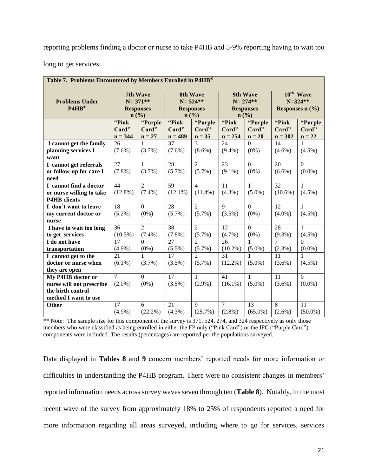reporting problems finding a doctor or nurse to take P4HB and 5-9% reporting having to wait too

long to get services.

| Table 7. Problems Encountered by Members Enrolled in P4HB® |                 |                  |                 |                  |                |                  |                |                       |  |
|------------------------------------------------------------|-----------------|------------------|-----------------|------------------|----------------|------------------|----------------|-----------------------|--|
|                                                            |                 | 7th Wave         | <b>8th Wave</b> |                  |                | 9th Wave         |                | 10 <sup>th</sup> Wave |  |
| <b>Problems Under</b>                                      |                 | $N = 371**$      |                 | $N = 524**$      | $N = 274**$    |                  |                | $N = 324**$           |  |
| P4HB®                                                      |                 | <b>Responses</b> |                 | <b>Responses</b> |                | <b>Responses</b> |                | Responses $n$ (%)     |  |
|                                                            |                 | n(%)             |                 | n(%)             |                | n(%)             |                |                       |  |
|                                                            | "Pink           | "Purple          | "Pink           | "Purple          | "Pink          | "Purple          | "Pink          | "Purple               |  |
|                                                            | Card"           | Card"            | Card"           | Card"            | Card"          | Card"            | Card"          | Card"                 |  |
|                                                            | $n = 344$       | $n = 27$         | $n = 489$       | $n = 35$         | $n = 254$      | $n = 20$         | $n = 302$      | $n = 22$              |  |
| I cannot get the family                                    | 26              | 1                | 37              | $\mathcal{E}$    | 24             | $\Omega$         | 14             | 1                     |  |
| planning services I                                        | $(7.6\%)$       | $(3.7\%)$        | $(7.6\%)$       | $(8.6\%)$        | $(9.4\%)$      | $(0\%)$          | $(4.6\%)$      | $(4.5\%)$             |  |
| want                                                       |                 |                  |                 |                  |                |                  |                |                       |  |
| I cannot get referrals                                     | 27              | $\mathbf{1}$     | 28              | $\overline{2}$   | 23             | $\overline{0}$   | 20             | $\Omega$              |  |
| or follow-up for care I                                    | $(7.8\%)$       | $(3.7\%)$        | $(5.7\%)$       | $(5.7\%)$        | $(9.1\%)$      | $(0\%)$          | $(6.6\%)$      | $(0.0\%)$             |  |
| need                                                       |                 |                  |                 |                  |                |                  |                |                       |  |
| I cannot find a doctor                                     | 44              | $\overline{2}$   | 59              | $\overline{4}$   | 11             | $\mathbf{1}$     | 32             | 1                     |  |
| or nurse willing to take                                   | $(12.8\%)$      | $(7.4\%)$        | $(12.1\%)$      | $(11.4\%)$       | $(4.3\%)$      | $(5.0\%)$        | $(10.6\%)$     | $(4.5\%)$             |  |
| <b>P4HB</b> clients                                        |                 |                  |                 |                  |                |                  |                |                       |  |
| I don't want to leave                                      | 18              | $\overline{0}$   | 28              | 2                | $\mathbf Q$    | $\overline{0}$   | 12             | $\mathbf{1}$          |  |
| my current doctor or                                       | $(5.2\%)$       | $(0\%)$          | (5.7%)          | $(5.7\%)$        | $(3.5\%)$      | $(0\%)$          | $(4.0\%)$      | $(4.5\%)$             |  |
| nurse                                                      |                 |                  |                 |                  |                |                  |                |                       |  |
| I have to wait too long                                    | 36              | $\overline{2}$   | 38              | $\overline{2}$   | 12             | $\overline{0}$   | 28             | $\mathbf{1}$          |  |
| to get services                                            | $(10.5\%)$      | $(7.4\%)$        | $(7.8\%)$       | $(5.7\%)$        | $(4.7\%)$      | $(0\%)$          | $(9.3\%)$      | $(4.5\%)$             |  |
| I do not have                                              | 17              | $\Omega$         | 27              | $\overline{2}$   | 26             | $\mathbf{1}$     | 7              | $\Omega$              |  |
| transportation                                             | $(4.9\%)$       | $(0\%)$          | $(5.5\%)$       | $(5.7\%)$        | $(10.2\%)$     | $(5.0\%)$        | $(2.3\%)$      | $(0.0\%)$             |  |
| I cannot get to the                                        | 21              | $\mathbf{1}$     | $\overline{17}$ | $\overline{2}$   | 31             | $\mathbf{1}$     | 11             | 1                     |  |
| doctor or nurse when                                       | $(6.1\%)$       | $(3.7\%)$        | (3.5%)          | $(5.7\%)$        | $(12.2\%)$     | $(5.0\%)$        | $(3.6\%)$      | $(4.5\%)$             |  |
| they are open                                              |                 |                  |                 |                  |                |                  |                |                       |  |
| My P4HB doctor or                                          | $\overline{7}$  | $\overline{0}$   | $\overline{17}$ | $\mathbf{1}$     | 41             | $\mathbf{1}$     | 11             | $\overline{0}$        |  |
| nurse will not prescribe                                   | $(2.0\%)$       | $(0\%)$          | $(3.5\%)$       | $(2.9\%)$        | $(16.1\%)$     | $(5.0\%)$        | $(3.6\%)$      | $(0.0\%)$             |  |
| the birth control                                          |                 |                  |                 |                  |                |                  |                |                       |  |
| method I want to use                                       |                 |                  |                 |                  |                |                  |                |                       |  |
| Other                                                      | $\overline{17}$ | 6                | 21              | 9                | $\overline{7}$ | 13               | $\overline{8}$ | 11                    |  |
|                                                            | $(4.9\%)$       | $(22.2\%)$       | $(4.3\%)$       | (25.7%)          | $(2.8\%)$      | $(65.0\%)$       | $(2.6\%)$      | $(50.0\%)$            |  |

\*\* Note: The sample size for this component of the survey is 371, 524, 274, and 324 respectively as only those members who were classified as being enrolled in either the FP only ("Pink Card") or the IPC ("Purple Card") components were included. The results (percentages) are reported per the populations surveyed.

Data displayed in **Tables 8** and **9** concern members' reported needs for more information or difficulties in understanding the P4HB program. There were no consistent changes in members' reported information needs across survey waves seven through ten (**Table 8**). Notably, in the most recent wave of the survey from approximately 18% to 25% of respondents reported a need for more information regarding all areas surveyed, including where to go for services, services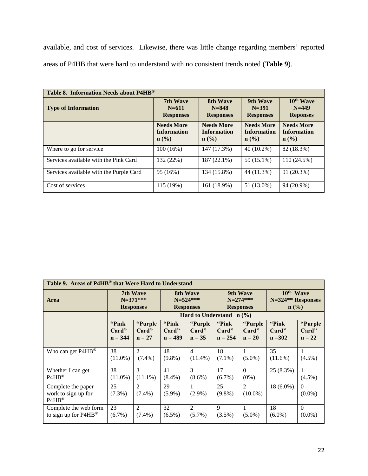available, and cost of services. Likewise, there was little change regarding members' reported areas of P4HB that were hard to understand with no consistent trends noted (**Table 9**).

| Table 8. Information Needs about P4HB <sup>®</sup> |                                                                        |                                                   |                                                   |                                                             |  |  |  |  |  |
|----------------------------------------------------|------------------------------------------------------------------------|---------------------------------------------------|---------------------------------------------------|-------------------------------------------------------------|--|--|--|--|--|
| <b>Type of Information</b>                         | 7th Wave<br>$N = 611$<br><b>Responses</b>                              | 8th Wave<br>$N = 848$<br><b>Responses</b>         | 9th Wave<br>$N = 391$<br><b>Responses</b>         | 10 <sup>th</sup> Wave<br>$N = 449$<br><b>Reponses</b>       |  |  |  |  |  |
|                                                    | <b>Needs More</b><br><b>Information</b><br>$n\left(\frac{0}{0}\right)$ | <b>Needs More</b><br><b>Information</b><br>n (% ) | <b>Needs More</b><br><b>Information</b><br>n (% ) | <b>Needs More</b><br><b>Information</b><br>$\mathbf{n}(\%)$ |  |  |  |  |  |
| Where to go for service                            | $100(16\%)$                                                            | 147 (17.3%)                                       | $40(10.2\%)$                                      | 82 (18.3%)                                                  |  |  |  |  |  |
| Services available with the Pink Card              | 132 (22%)                                                              | 187 (22.1%)                                       | 59 (15.1%)                                        | 110 (24.5%)                                                 |  |  |  |  |  |
| Services available with the Purple Card            | 95 (16%)                                                               | 134 (15.8%)                                       | 44 (11.3%)                                        | 91 (20.3%)                                                  |  |  |  |  |  |
| Cost of services                                   | 115 (19%)                                                              | 161 (18.9%)                                       | 51 (13.0%)                                        | 94 (20.9%)                                                  |  |  |  |  |  |

| Table 9. Areas of P4HB <sup>®</sup> that Were Hard to Understand |                  |                             |                  |                              |                  |                               |                  |                       |
|------------------------------------------------------------------|------------------|-----------------------------|------------------|------------------------------|------------------|-------------------------------|------------------|-----------------------|
| Area                                                             | 7th Wave         |                             | 8th Wave         |                              | 9th Wave         | 10 <sup>th</sup> Wave         |                  |                       |
|                                                                  | $N=371***$       |                             | $N = 524$ ***    |                              | $N = 274$ ***    | N=324 <sup>**</sup> Responses |                  |                       |
|                                                                  | <b>Responses</b> |                             | <b>Responses</b> |                              | <b>Responses</b> | $\mathbf{n}(\%)$              |                  |                       |
|                                                                  |                  |                             |                  | Hard to Understand $n$ (%)   |                  |                               |                  |                       |
|                                                                  | "Pink"           | "Purple                     | "Pink"           | "Purple                      | "Pink"           | "Purple                       | "Pink"           | "Purple               |
|                                                                  | Card"            | Card"                       | Card"            | Card"                        | Card"            | Card"                         | Card"            | Card"                 |
|                                                                  | $n = 344$        | $n = 27$                    | $n = 489$        | $n = 35$                     | $n = 254$        | $n = 20$                      | $n = 302$        | $n = 22$              |
| Who can get P4HB <sup>®</sup>                                    | 38<br>$(11.0\%)$ | $\mathfrak{D}$<br>$(7.4\%)$ | 48<br>$(9.8\%)$  | $\overline{4}$<br>$(11.4\%)$ | 18<br>$(7.1\%)$  | $(5.0\%)$                     | 35<br>$(11.6\%)$ | $(4.5\%)$             |
| Whether I can get                                                | 38               | 3                           | 41               | $\mathcal{E}$                | 17               | $\theta$                      | $25(8.3\%)$      | 1                     |
| $P4HB^{\circledR}$                                               | $(11.0\%)$       | $(11.1\%)$                  | $(8.4\%)$        | $(8.6\%)$                    | $(6.7\%)$        | $(0\%)$                       |                  | $(4.5\%)$             |
| Complete the paper<br>work to sign up for<br>$PAHB^®$            | 25<br>$(7.3\%)$  | $\mathfrak{D}$<br>$(7.4\%)$ | 29<br>$(5.9\%)$  | $(2.9\%)$                    | 25<br>$(9.8\%)$  | 2<br>$(10.0\%)$               | $18(6.0\%)$      | $\Omega$<br>$(0.0\%)$ |
| Complete the web form                                            | 23               | $\mathcal{D}_{\mathcal{L}}$ | 32               | $\mathcal{L}$                | $\mathbf{Q}$     | $\mathbf{1}$                  | 18               | $\Omega$              |
| to sign up for P4HB <sup>®</sup>                                 | $(6.7\%)$        | $(7.4\%)$                   | $(6.5\%)$        | $(5.7\%)$                    | $(3.5\%)$        | $(5.0\%)$                     | $(6.0\%)$        | $(0.0\%)$             |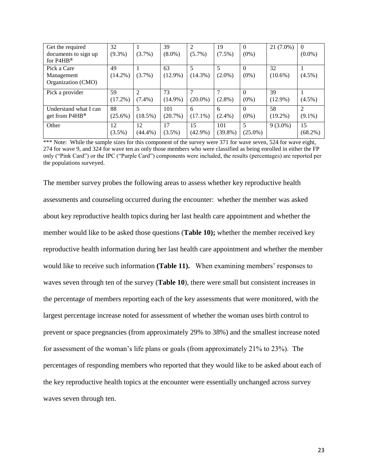| Get the required              | 32         |                | 39         | $\overline{c}$ | 19         | $\theta$   | 21 (7.0%)  | $\theta$   |
|-------------------------------|------------|----------------|------------|----------------|------------|------------|------------|------------|
| documents to sign up          | $(9.3\%)$  | $(3.7\%)$      | $(8.0\%)$  | $(5.7\%)$      | $(7.5\%)$  | $(0\%)$    |            | $(0.0\%)$  |
| for $P4HB^@$                  |            |                |            |                |            |            |            |            |
| Pick a Care                   | 49         |                | 63         | 5              | 5          | $\Omega$   | 32         |            |
| Management                    | $(14.2\%)$ | $(3.7\%)$      | $(12.9\%)$ | $(14.3\%)$     | $(2.0\%)$  | $(0\%)$    | $(10.6\%)$ | $(4.5\%)$  |
| Organization (CMO)            |            |                |            |                |            |            |            |            |
| Pick a provider               | 59         | $\mathfrak{D}$ | 73         |                |            | $\Omega$   | 39         |            |
|                               | $(17.2\%)$ | $(7.4\%)$      | $(14.9\%)$ | $(20.0\%)$     | $(2.8\%)$  | $(0\%)$    | $(12.9\%)$ | $(4.5\%)$  |
| Understand what I can         | 88         |                | 101        | 6              | 6          | $\Omega$   | 58         |            |
| get from $P4HB^{\circledast}$ | $(25.6\%)$ | $(18.5\%)$     | $(20.7\%)$ | $(17.1\%)$     | $(2.4\%)$  | $(0\%)$    | $(19.2\%)$ | $(9.1\%)$  |
| Other                         | 12         | 12             | 17         | 15             | 101        | 5          | $9(3.0\%)$ | 15         |
|                               | $(3.5\%)$  | $(44.4\%)$     | $(3.5\%)$  | $(42.9\%)$     | $(39.8\%)$ | $(25.0\%)$ |            | $(68.2\%)$ |

\*\*\* Note: While the sample sizes for this component of the survey were 371 for wave seven, 524 for wave eight, 274 for wave 9, and 324 for wave ten as only those members who were classified as being enrolled in either the FP only ("Pink Card") or the IPC ("Purple Card") components were included, the results (percentages) are reported per the populations surveyed.

The member survey probes the following areas to assess whether key reproductive health assessments and counseling occurred during the encounter: whether the member was asked about key reproductive health topics during her last health care appointment and whether the member would like to be asked those questions (**Table 10);** whether the member received key reproductive health information during her last health care appointment and whether the member would like to receive such information **(Table 11).** When examining members' responses to waves seven through ten of the survey (**Table 10**), there were small but consistent increases in the percentage of members reporting each of the key assessments that were monitored, with the largest percentage increase noted for assessment of whether the woman uses birth control to prevent or space pregnancies (from approximately 29% to 38%) and the smallest increase noted for assessment of the woman's life plans or goals (from approximately 21% to 23%). The percentages of responding members who reported that they would like to be asked about each of the key reproductive health topics at the encounter were essentially unchanged across survey waves seven through ten.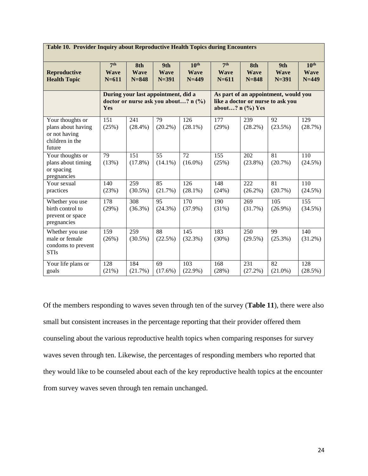| <b>Table 10. Provider Inquiry about Reproductive Health Topics during Encounters</b> |                                             |                                 |                                                                                                 |                                              |                                             |                                 |                                 |                                              |
|--------------------------------------------------------------------------------------|---------------------------------------------|---------------------------------|-------------------------------------------------------------------------------------------------|----------------------------------------------|---------------------------------------------|---------------------------------|---------------------------------|----------------------------------------------|
| <b>Reproductive</b><br><b>Health Topic</b>                                           | 7 <sup>th</sup><br><b>Wave</b><br>$N = 611$ | 8th<br><b>Wave</b><br>$N = 848$ | 9th<br><b>Wave</b><br>$N = 391$                                                                 | 10 <sup>th</sup><br><b>Wave</b><br>$N = 449$ | 7 <sup>th</sup><br><b>Wave</b><br>$N = 611$ | 8th<br><b>Wave</b><br>$N = 848$ | 9th<br><b>Wave</b><br>$N = 391$ | 10 <sup>th</sup><br><b>Wave</b><br>$N = 449$ |
| During your last appointment, did a<br>doctor or nurse ask you about? n (%)<br>Yes   |                                             |                                 | As part of an appointment, would you<br>like a doctor or nurse to ask you<br>about? $n$ (%) Yes |                                              |                                             |                                 |                                 |                                              |
| Your thoughts or<br>plans about having<br>or not having<br>children in the<br>future | 151<br>(25%)                                | 241<br>$(28.4\%)$               | 79<br>$(20.2\%)$                                                                                | 126<br>$(28.1\%)$                            | 177<br>(29%)                                | 239<br>$(28.2\%)$               | 92<br>$(23.5\%)$                | 129<br>(28.7%)                               |
| Your thoughts or<br>plans about timing<br>or spacing<br>pregnancies                  | 79<br>(13%)                                 | 151<br>$(17.8\%)$               | 55<br>$(14.1\%)$                                                                                | 72<br>$(16.0\%)$                             | 155<br>(25%)                                | 202<br>$(23.8\%)$               | 81<br>$(20.7\%)$                | 110<br>$(24.5\%)$                            |
| Your sexual<br>practices                                                             | 140<br>(23%)                                | 259<br>$(30.5\%)$               | 85<br>(21.7%)                                                                                   | $\frac{126}{2}$<br>$(28.1\%)$                | 148<br>(24%)                                | $\overline{222}$<br>$(26.2\%)$  | 81<br>$(20.7\%)$                | 110<br>$(24.5\%)$                            |
| Whether you use<br>birth control to<br>prevent or space<br>pregnancies               | 178<br>(29%)                                | $\overline{308}$<br>$(36.3\%)$  | 95<br>$(24.3\%)$                                                                                | $\overline{170}$<br>$(37.9\%)$               | $\overline{190}$<br>(31%)                   | 269<br>(31.7%)                  | 105<br>$(26.9\%)$               | $\overline{155}$<br>$(34.5\%)$               |
| Whether you use<br>male or female<br>condoms to prevent<br><b>STIs</b>               | 159<br>(26%)                                | 259<br>$(30.5\%)$               | 88<br>(22.5%)                                                                                   | 145<br>(32.3%)                               | 183<br>(30%)                                | 250<br>$(29.5\%)$               | 99<br>$(25.3\%)$                | 140<br>$(31.2\%)$                            |
| Your life plans or<br>goals                                                          | 128<br>(21%)                                | 184<br>(21.7%)                  | 69<br>$(17.6\%)$                                                                                | 103<br>$(22.9\%)$                            | 168<br>(28%)                                | 231<br>$(27.2\%)$               | 82<br>$(21.0\%)$                | 128<br>(28.5%)                               |

Of the members responding to waves seven through ten of the survey (**Table 11**), there were also small but consistent increases in the percentage reporting that their provider offered them counseling about the various reproductive health topics when comparing responses for survey waves seven through ten. Likewise, the percentages of responding members who reported that they would like to be counseled about each of the key reproductive health topics at the encounter from survey waves seven through ten remain unchanged.

24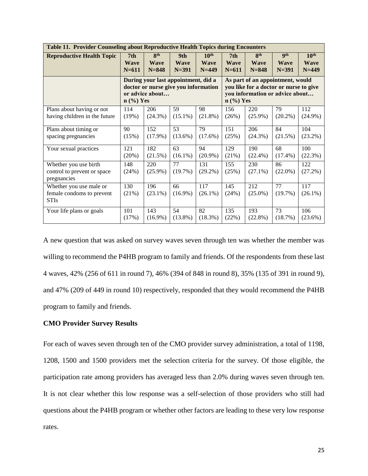| <b>Table 11. Provider Counseling about Reproductive Health Topics during Encounters</b> |              |                                                                                                                                                                                                                                               |                  |                   |                 |                   |                  |                   |  |  |
|-----------------------------------------------------------------------------------------|--------------|-----------------------------------------------------------------------------------------------------------------------------------------------------------------------------------------------------------------------------------------------|------------------|-------------------|-----------------|-------------------|------------------|-------------------|--|--|
| <b>Reproductive Health Topic</b>                                                        | 7th          | 8 <sup>th</sup>                                                                                                                                                                                                                               | 9th              | 10 <sup>th</sup>  | 7 <sub>th</sub> | 8 <sup>th</sup>   | <b>gth</b>       | $10^{\text{th}}$  |  |  |
|                                                                                         | <b>Wave</b>  | <b>Wave</b>                                                                                                                                                                                                                                   | <b>Wave</b>      | <b>Wave</b>       | <b>Wave</b>     | <b>Wave</b>       | <b>Wave</b>      | <b>Wave</b>       |  |  |
|                                                                                         | $N = 611$    | $N = 848$                                                                                                                                                                                                                                     | $N = 391$        | $N=449$           | $N = 611$       | $N = 848$         | $N = 391$        | $N=449$           |  |  |
|                                                                                         |              | During your last appointment, did a<br>As part of an appointment, would<br>doctor or nurse give you information<br>you like for a doctor or nurse to give<br>you information or advice about<br>or advice about<br>$n$ (%) Yes<br>$n$ (%) Yes |                  |                   |                 |                   |                  |                   |  |  |
| Plans about having or not                                                               | 114          | 206                                                                                                                                                                                                                                           | 59               | 98                | 156             | 220               | 79               | 112               |  |  |
| having children in the future                                                           | (19%)        | $(24.3\%)$                                                                                                                                                                                                                                    | $(15.1\%)$       | $(21.8\%)$        | (26%)           | $(25.9\%)$        | (20.2%)          | $(24.9\%)$        |  |  |
| Plans about timing or                                                                   | 90           | 152                                                                                                                                                                                                                                           | 53               | 79                | 151             | 206               | 84               | 104               |  |  |
| spacing pregnancies                                                                     | (15%)        | $(17.9\%)$                                                                                                                                                                                                                                    | $(13.6\%)$       | $(17.6\%)$        | (25%)           | $(24.3\%)$        | (21.5%)          | (23.2%)           |  |  |
| Your sexual practices                                                                   | 121          | 182                                                                                                                                                                                                                                           | 63               | 94                | 129             | 190               | 68               | 100               |  |  |
|                                                                                         | (20%)        | (21.5%)                                                                                                                                                                                                                                       | $(16.1\%)$       | $(20.9\%)$        | (21%)           | $(22.4\%)$        | $(17.4\%)$       | (22.3%)           |  |  |
| Whether you use birth<br>control to prevent or space<br>pregnancies                     | 148<br>(24%) | 220<br>$(25.9\%)$                                                                                                                                                                                                                             | 77<br>(19.7%)    | 131<br>$(29.2\%)$ | 155<br>(25%)    | 230<br>$(27.1\%)$ | 86<br>$(22.0\%)$ | 122<br>(27.2%)    |  |  |
| Whether you use male or<br>female condoms to prevent<br><b>STIs</b>                     | 130<br>(21%) | 196<br>$(23.1\%)$                                                                                                                                                                                                                             | 66<br>$(16.9\%)$ | 117<br>$(26.1\%)$ | 145<br>(24%)    | 212<br>$(25.0\%)$ | 77<br>(19.7%)    | 117<br>$(26.1\%)$ |  |  |
| Your life plans or goals                                                                | 101          | 143                                                                                                                                                                                                                                           | 54               | 82                | 135             | 193               | 73               | 106               |  |  |
|                                                                                         | (17%)        | $(16.9\%)$                                                                                                                                                                                                                                    | $(13.8\%)$       | $(18.3\%)$        | (22%)           | (22.8%)           | (18.7%)          | (23.6%)           |  |  |

A new question that was asked on survey waves seven through ten was whether the member was willing to recommend the P4HB program to family and friends. Of the respondents from these last 4 waves, 42% (256 of 611 in round 7), 46% (394 of 848 in round 8), 35% (135 of 391 in round 9), and 47% (209 of 449 in round 10) respectively, responded that they would recommend the P4HB program to family and friends.

### **CMO Provider Survey Results**

For each of waves seven through ten of the CMO provider survey administration, a total of 1198, 1208, 1500 and 1500 providers met the selection criteria for the survey. Of those eligible, the participation rate among providers has averaged less than 2.0% during waves seven through ten. It is not clear whether this low response was a self-selection of those providers who still had questions about the P4HB program or whether other factors are leading to these very low response rates.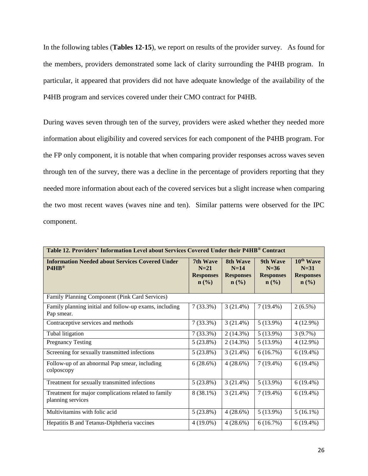In the following tables (**Tables 12-15**), we report on results of the provider survey. As found for the members, providers demonstrated some lack of clarity surrounding the P4HB program. In particular, it appeared that providers did not have adequate knowledge of the availability of the P4HB program and services covered under their CMO contract for P4HB.

During waves seven through ten of the survey, providers were asked whether they needed more information about eligibility and covered services for each component of the P4HB program. For the FP only component, it is notable that when comparing provider responses across waves seven through ten of the survey, there was a decline in the percentage of providers reporting that they needed more information about each of the covered services but a slight increase when comparing the two most recent waves (waves nine and ten). Similar patterns were observed for the IPC component.

| Table 12. Providers' Information Level about Services Covered Under their P4HB® Contract |                                                            |                                                            |                                                                       |                                                                                    |  |  |  |  |  |
|------------------------------------------------------------------------------------------|------------------------------------------------------------|------------------------------------------------------------|-----------------------------------------------------------------------|------------------------------------------------------------------------------------|--|--|--|--|--|
| <b>Information Needed about Services Covered Under</b><br>$PAHB^@$                       | 7th Wave<br>$N=21$<br><b>Responses</b><br>$\mathbf{n}(\%)$ | 8th Wave<br>$N=14$<br><b>Responses</b><br>$\mathbf{n}(\%)$ | 9th Wave<br>$N=36$<br><b>Responses</b><br>$n\left(\frac{0}{0}\right)$ | 10 <sup>th</sup> Wave<br>$N=31$<br><b>Responses</b><br>$n\left(\frac{0}{0}\right)$ |  |  |  |  |  |
| Family Planning Component (Pink Card Services)                                           |                                                            |                                                            |                                                                       |                                                                                    |  |  |  |  |  |
| Family planning initial and follow-up exams, including<br>Pap smear.                     | $7(33.3\%)$                                                | 3(21.4%)                                                   | $7(19.4\%)$                                                           | $2(6.5\%)$                                                                         |  |  |  |  |  |
| Contraceptive services and methods                                                       | $7(33.3\%)$                                                | 3(21.4%)                                                   | $5(13.9\%)$                                                           | $4(12.9\%)$                                                                        |  |  |  |  |  |
| Tubal litigation                                                                         | $7(33.3\%)$                                                | $2(14.3\%)$                                                | $5(13.9\%)$                                                           | 3(9.7%)                                                                            |  |  |  |  |  |
| <b>Pregnancy Testing</b>                                                                 | $5(23.8\%)$                                                | 2(14.3%)                                                   | $5(13.9\%)$                                                           | $4(12.9\%)$                                                                        |  |  |  |  |  |
| Screening for sexually transmitted infections                                            | $5(23.8\%)$                                                | 3(21.4%)                                                   | 6(16.7%)                                                              | $6(19.4\%)$                                                                        |  |  |  |  |  |
| Follow-up of an abnormal Pap smear, including<br>colposcopy                              | 6(28.6%)                                                   | 4(28.6%)                                                   | $7(19.4\%)$                                                           | $6(19.4\%)$                                                                        |  |  |  |  |  |
| Treatment for sexually transmitted infections                                            | $5(23.8\%)$                                                | 3(21.4%)                                                   | $5(13.9\%)$                                                           | $6(19.4\%)$                                                                        |  |  |  |  |  |
| Treatment for major complications related to family<br>planning services                 | $8(38.1\%)$                                                | 3(21.4%)                                                   | $7(19.4\%)$                                                           | $6(19.4\%)$                                                                        |  |  |  |  |  |
| Multivitamins with folic acid                                                            | $5(23.8\%)$                                                | $4(28.6\%)$                                                | $5(13.9\%)$                                                           | $5(16.1\%)$                                                                        |  |  |  |  |  |
| Hepatitis B and Tetanus-Diphtheria vaccines                                              | $4(19.0\%)$                                                | 4(28.6%)                                                   | 6(16.7%)                                                              | $6(19.4\%)$                                                                        |  |  |  |  |  |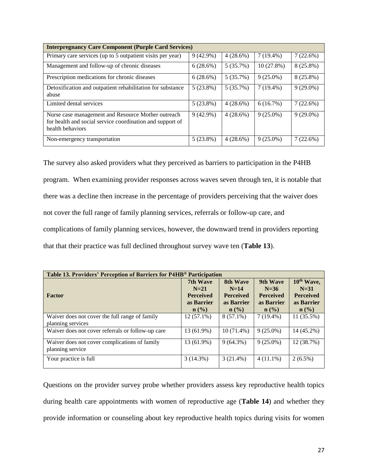| <b>Interpregnancy Care Component (Purple Card Services)</b>                                                                         |             |          |             |             |  |  |  |  |
|-------------------------------------------------------------------------------------------------------------------------------------|-------------|----------|-------------|-------------|--|--|--|--|
| Primary care services (up to 5 outpatient visits per year)                                                                          | $9(42.9\%)$ | 4(28.6%) | $7(19.4\%)$ | 7(22.6%)    |  |  |  |  |
| Management and follow-up of chronic diseases                                                                                        | 6(28.6%)    | 5(35.7%) | 10(27.8%)   | $8(25.8\%)$ |  |  |  |  |
| Prescription medications for chronic diseases                                                                                       | 6(28.6%)    | 5(35.7%) | $9(25.0\%)$ | $8(25.8\%)$ |  |  |  |  |
| Detoxification and outpatient rehabilitation for substance<br>abuse                                                                 | $5(23.8\%)$ | 5(35.7%) | $7(19.4\%)$ | $9(29.0\%)$ |  |  |  |  |
| Limited dental services                                                                                                             | $5(23.8\%)$ | 4(28.6%) | 6(16.7%)    | 7(22.6%)    |  |  |  |  |
| Nurse case management and Resource Mother outreach<br>for health and social service coordination and support of<br>health behaviors | $9(42.9\%)$ | 4(28.6%) | $9(25.0\%)$ | $9(29.0\%)$ |  |  |  |  |
| Non-emergency transportation                                                                                                        | $5(23.8\%)$ | 4(28.6%) | $9(25.0\%)$ | 7(22.6%)    |  |  |  |  |

The survey also asked providers what they perceived as barriers to participation in the P4HB program. When examining provider responses across waves seven through ten, it is notable that there was a decline then increase in the percentage of providers perceiving that the waiver does not cover the full range of family planning services, referrals or follow-up care, and complications of family planning services, however, the downward trend in providers reporting that that their practice was full declined throughout survey wave ten (**Table 13**).

| Table 13. Providers' Perception of Barriers for P4HB® Participation |                             |                  |                  |                             |  |  |  |  |  |  |
|---------------------------------------------------------------------|-----------------------------|------------------|------------------|-----------------------------|--|--|--|--|--|--|
|                                                                     | 7th Wave                    | 8th Wave         | 9th Wave         | 10 <sup>th</sup> Wave,      |  |  |  |  |  |  |
|                                                                     | $N=21$                      | $N=14$           | $N=36$           | $N=31$                      |  |  |  |  |  |  |
| Factor                                                              | <b>Perceived</b>            | <b>Perceived</b> | <b>Perceived</b> | <b>Perceived</b>            |  |  |  |  |  |  |
|                                                                     | as Barrier                  | as Barrier       | as Barrier       | as Barrier                  |  |  |  |  |  |  |
|                                                                     | $n\left(\frac{0}{0}\right)$ | $\mathbf{n}(\%)$ | $\mathbf{n}(\%)$ | $n\left(\frac{0}{0}\right)$ |  |  |  |  |  |  |
| Waiver does not cover the full range of family                      | $12(57.1\%)$                | $8(57.1\%)$      | $7(19.4\%)$      | $11(35.5\%)$                |  |  |  |  |  |  |
| planning services                                                   |                             |                  |                  |                             |  |  |  |  |  |  |
| Waiver does not cover referrals or follow-up care                   | 13 (61.9%)                  | $10(71.4\%)$     | $9(25.0\%)$      | 14 (45.2%)                  |  |  |  |  |  |  |
| Waiver does not cover complications of family                       | 13 (61.9%)                  | $9(64.3\%)$      | $9(25.0\%)$      | 12 (38.7%)                  |  |  |  |  |  |  |
| planning service                                                    |                             |                  |                  |                             |  |  |  |  |  |  |
| Your practice is full                                               | 3(14.3%)                    | $3(21.4\%)$      | $4(11.1\%)$      | $2(6.5\%)$                  |  |  |  |  |  |  |

Questions on the provider survey probe whether providers assess key reproductive health topics during health care appointments with women of reproductive age (**Table 14**) and whether they provide information or counseling about key reproductive health topics during visits for women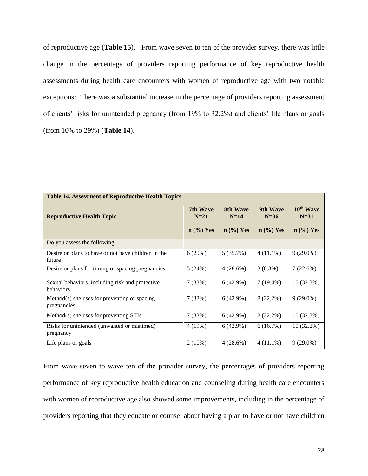of reproductive age (**Table 15**). From wave seven to ten of the provider survey, there was little change in the percentage of providers reporting performance of key reproductive health assessments during health care encounters with women of reproductive age with two notable exceptions: There was a substantial increase in the percentage of providers reporting assessment of clients' risks for unintended pregnancy (from 19% to 32.2%) and clients' life plans or goals (from 10% to 29%) (**Table 14**).

| <b>Table 14. Assessment of Reproductive Health Topics</b>     |                                   |                                   |                                   |                                                |  |  |  |  |  |
|---------------------------------------------------------------|-----------------------------------|-----------------------------------|-----------------------------------|------------------------------------------------|--|--|--|--|--|
| <b>Reproductive Health Topic</b>                              | 7th Wave<br>$N=21$<br>$n$ (%) Yes | 8th Wave<br>$N=14$<br>$n$ (%) Yes | 9th Wave<br>$N=36$<br>$n$ (%) Yes | 10 <sup>th</sup> Wave<br>$N=31$<br>$n$ (%) Yes |  |  |  |  |  |
| Do you assess the following                                   |                                   |                                   |                                   |                                                |  |  |  |  |  |
| Desire or plans to have or not have children in the<br>future | 6(29%)                            | 5(35.7%)                          | $4(11.1\%)$                       | $9(29.0\%)$                                    |  |  |  |  |  |
| Desire or plans for timing or spacing pregnancies             | 5(24%)                            | 4(28.6%)                          | $3(8.3\%)$                        | 7(22.6%)                                       |  |  |  |  |  |
| Sexual behaviors, including risk and protective<br>behaviors  | 7(33%)                            | $6(42.9\%)$                       | $7(19.4\%)$                       | $10(32.3\%)$                                   |  |  |  |  |  |
| $Method(s)$ she uses for preventing or spacing<br>pregnancies | 7(33%)                            | 6(42.9%)                          | 8 (22.2%)                         | $9(29.0\%)$                                    |  |  |  |  |  |
| Method(s) she uses for preventing STIs                        | 7(33%)                            | $6(42.9\%)$                       | $8(22.2\%)$                       | $10(32.3\%)$                                   |  |  |  |  |  |
| Risks for unintended (unwanted or mistimed)<br>pregnancy      | 4(19%)                            | 6(42.9%)                          | 6(16.7%)                          | $10(32.2\%)$                                   |  |  |  |  |  |
| Life plans or goals                                           | $2(10\%)$                         | 4(28.6%)                          | $4(11.1\%)$                       | $9(29.0\%)$                                    |  |  |  |  |  |

From wave seven to wave ten of the provider survey, the percentages of providers reporting performance of key reproductive health education and counseling during health care encounters with women of reproductive age also showed some improvements, including in the percentage of providers reporting that they educate or counsel about having a plan to have or not have children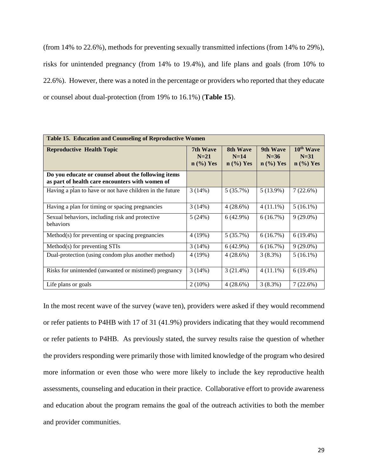(from 14% to 22.6%), methods for preventing sexually transmitted infections (from 14% to 29%), risks for unintended pregnancy (from 14% to 19.4%), and life plans and goals (from 10% to 22.6%). However, there was a noted in the percentage or providers who reported that they educate or counsel about dual-protection (from 19% to 16.1%) (**Table 15**).

| Table 15. Education and Counseling of Reproductive Women                                               |                                   |                                   |                                   |                                                |  |  |  |  |  |
|--------------------------------------------------------------------------------------------------------|-----------------------------------|-----------------------------------|-----------------------------------|------------------------------------------------|--|--|--|--|--|
| <b>Reproductive Health Topic</b>                                                                       | 7th Wave<br>$N=21$<br>$n$ (%) Yes | 8th Wave<br>$N=14$<br>$n$ (%) Yes | 9th Wave<br>$N=36$<br>$n$ (%) Yes | 10 <sup>th</sup> Wave<br>$N=31$<br>$n$ (%) Yes |  |  |  |  |  |
| Do you educate or counsel about the following items<br>as part of health care encounters with women of |                                   |                                   |                                   |                                                |  |  |  |  |  |
| Having a plan to have or not have children in the future                                               | 3(14%)                            | 5(35.7%)                          | $5(13.9\%)$                       | 7(22.6%)                                       |  |  |  |  |  |
| Having a plan for timing or spacing pregnancies                                                        | 3(14%)                            | 4(28.6%)                          | $4(11.1\%)$                       | $5(16.1\%)$                                    |  |  |  |  |  |
| Sexual behaviors, including risk and protective<br>behaviors                                           | 5(24%)                            | $6(42.9\%)$                       | 6(16.7%)                          | $9(29.0\%)$                                    |  |  |  |  |  |
| Method(s) for preventing or spacing pregnancies                                                        | 4(19%)                            | 5(35.7%)                          | $6(16.7\%)$                       | $6(19.4\%)$                                    |  |  |  |  |  |
| Method(s) for preventing STIs                                                                          | 3(14%)                            | 6(42.9%)                          | 6(16.7%)                          | $9(29.0\%)$                                    |  |  |  |  |  |
| Dual-protection (using condom plus another method)                                                     | 4(19%)                            | 4(28.6%)                          | 3(8.3%)                           | $5(16.1\%)$                                    |  |  |  |  |  |
| Risks for unintended (unwanted or mistimed) pregnancy                                                  | 3(14%)                            | $3(21.4\%)$                       | $4(11.1\%)$                       | $6(19.4\%)$                                    |  |  |  |  |  |
| Life plans or goals                                                                                    | $2(10\%)$                         | 4(28.6%)                          | 3(8.3%)                           | 7(22.6%)                                       |  |  |  |  |  |

In the most recent wave of the survey (wave ten), providers were asked if they would recommend or refer patients to P4HB with 17 of 31 (41.9%) providers indicating that they would recommend or refer patients to P4HB. As previously stated, the survey results raise the question of whether the providers responding were primarily those with limited knowledge of the program who desired more information or even those who were more likely to include the key reproductive health assessments, counseling and education in their practice. Collaborative effort to provide awareness and education about the program remains the goal of the outreach activities to both the member and provider communities.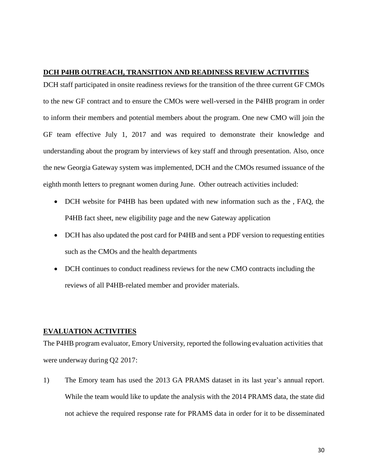### **DCH P4HB OUTREACH, TRANSITION AND READINESS REVIEW ACTIVITIES**

DCH staff participated in onsite readiness reviews for the transition of the three current GF CMOs to the new GF contract and to ensure the CMOs were well-versed in the P4HB program in order to inform their members and potential members about the program. One new CMO will join the GF team effective July 1, 2017 and was required to demonstrate their knowledge and understanding about the program by interviews of key staff and through presentation. Also, once the new Georgia Gateway system was implemented, DCH and the CMOs resumed issuance of the eighth month letters to pregnant women during June. Other outreach activities included:

- DCH website for P4HB has been updated with new information such as the , FAQ, the P4HB fact sheet, new eligibility page and the new Gateway application
- DCH has also updated the post card for P4HB and sent a PDF version to requesting entities such as the CMOs and the health departments
- DCH continues to conduct readiness reviews for the new CMO contracts including the reviews of all P4HB-related member and provider materials.

### **EVALUATION ACTIVITIES**

The P4HB program evaluator, Emory University, reported the following evaluation activities that were underway during Q2 2017:

1) The Emory team has used the 2013 GA PRAMS dataset in its last year's annual report. While the team would like to update the analysis with the 2014 PRAMS data, the state did not achieve the required response rate for PRAMS data in order for it to be disseminated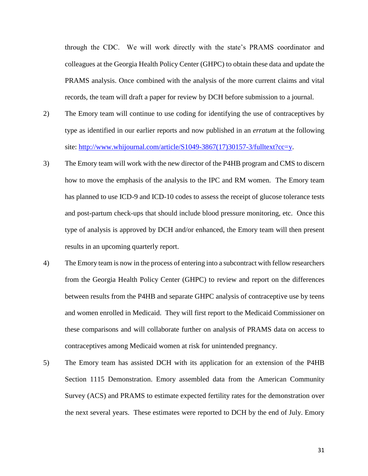through the CDC. We will work directly with the state's PRAMS coordinator and colleagues at the Georgia Health Policy Center (GHPC) to obtain these data and update the PRAMS analysis. Once combined with the analysis of the more current claims and vital records, the team will draft a paper for review by DCH before submission to a journal.

- 2) The Emory team will continue to use coding for identifying the use of contraceptives by type as identified in our earlier reports and now published in an *erratum* at the following site: [http://www.whijournal.com/article/S1049-3867\(17\)30157-3/fulltext?cc=y.](http://www.whijournal.com/article/S1049-3867(17)30157-3/fulltext?cc=y)
- 3) The Emory team will work with the new director of the P4HB program and CMS to discern how to move the emphasis of the analysis to the IPC and RM women. The Emory team has planned to use ICD-9 and ICD-10 codes to assess the receipt of glucose tolerance tests and post-partum check-ups that should include blood pressure monitoring, etc. Once this type of analysis is approved by DCH and/or enhanced, the Emory team will then present results in an upcoming quarterly report.
- 4) The Emory team is now in the process of entering into a subcontract with fellow researchers from the Georgia Health Policy Center (GHPC) to review and report on the differences between results from the P4HB and separate GHPC analysis of contraceptive use by teens and women enrolled in Medicaid. They will first report to the Medicaid Commissioner on these comparisons and will collaborate further on analysis of PRAMS data on access to contraceptives among Medicaid women at risk for unintended pregnancy.
- 5) The Emory team has assisted DCH with its application for an extension of the P4HB Section 1115 Demonstration. Emory assembled data from the American Community Survey (ACS) and PRAMS to estimate expected fertility rates for the demonstration over the next several years. These estimates were reported to DCH by the end of July. Emory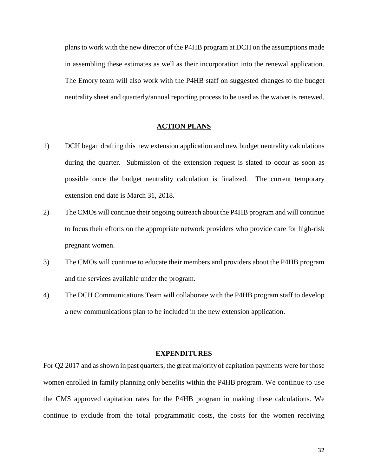plans to work with the new director of the P4HB program at DCH on the assumptions made in assembling these estimates as well as their incorporation into the renewal application. The Emory team will also work with the P4HB staff on suggested changes to the budget neutrality sheet and quarterly/annual reporting process to be used as the waiver is renewed.

### **ACTION PLANS**

- 1) DCH began drafting this new extension application and new budget neutrality calculations during the quarter. Submission of the extension request is slated to occur as soon as possible once the budget neutrality calculation is finalized. The current temporary extension end date is March 31, 2018.
- 2) The CMOs will continue their ongoing outreach about the P4HB program and will continue to focus their efforts on the appropriate network providers who provide care for high-risk pregnant women.
- 3) The CMOs will continue to educate their members and providers about the P4HB program and the services available under the program.
- 4) The DCH Communications Team will collaborate with the P4HB program staff to develop a new communications plan to be included in the new extension application.

#### **EXPENDITURES**

For Q2 2017 and as shown in past quarters, the great majority of capitation payments were for those women enrolled in family planning only benefits within the P4HB program. We continue to use the CMS approved capitation rates for the P4HB program in making these calculations. We continue to exclude from the total programmatic costs, the costs for the women receiving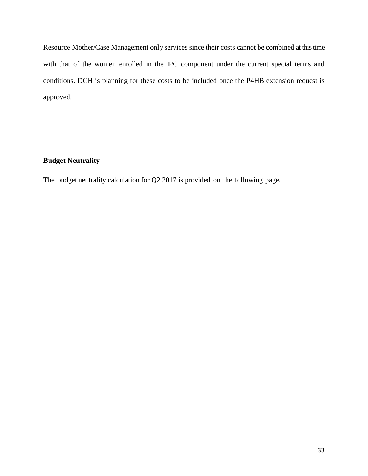Resource Mother/Case Management only services since their costs cannot be combined at this time with that of the women enrolled in the IPC component under the current special terms and conditions. DCH is planning for these costs to be included once the P4HB extension request is approved.

## **Budget Neutrality**

The budget neutrality calculation for Q2 2017 is provided on the following page.